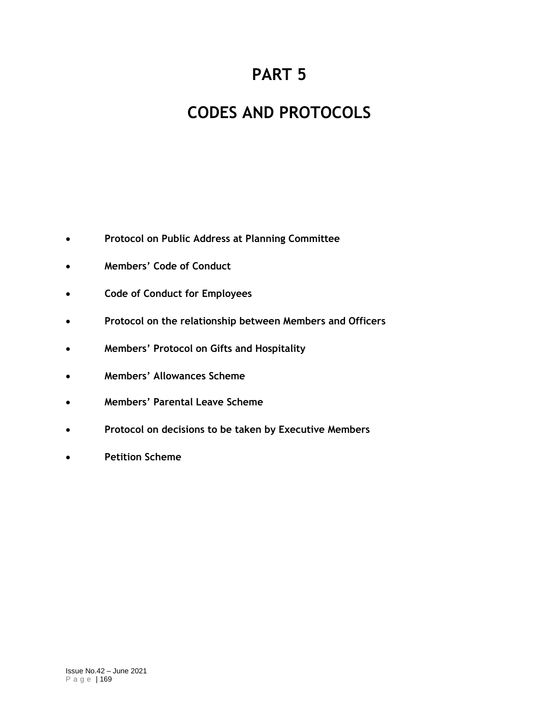# **PART 5**

# **CODES AND PROTOCOLS**

- **Protocol on Public Address at Planning Committee**
- **Members' Code of Conduct**
- **Code of Conduct for Employees**
- **Protocol on the relationship between Members and Officers**
- **Members' Protocol on Gifts and Hospitality**
- **Members' Allowances Scheme**
- **Members' Parental Leave Scheme**
- **Protocol on decisions to be taken by Executive Members**
- **Petition Scheme**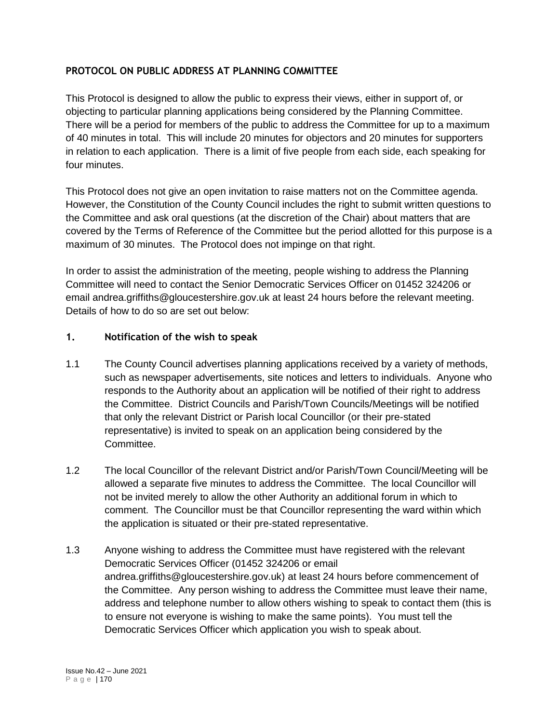#### **PROTOCOL ON PUBLIC ADDRESS AT PLANNING COMMITTEE**

This Protocol is designed to allow the public to express their views, either in support of, or objecting to particular planning applications being considered by the Planning Committee. There will be a period for members of the public to address the Committee for up to a maximum of 40 minutes in total. This will include 20 minutes for objectors and 20 minutes for supporters in relation to each application. There is a limit of five people from each side, each speaking for four minutes.

This Protocol does not give an open invitation to raise matters not on the Committee agenda. However, the Constitution of the County Council includes the right to submit written questions to the Committee and ask oral questions (at the discretion of the Chair) about matters that are covered by the Terms of Reference of the Committee but the period allotted for this purpose is a maximum of 30 minutes. The Protocol does not impinge on that right.

In order to assist the administration of the meeting, people wishing to address the Planning Committee will need to contact the Senior Democratic Services Officer on 01452 324206 or email andrea.griffiths@gloucestershire.gov.uk at least 24 hours before the relevant meeting. Details of how to do so are set out below:

#### **1. Notification of the wish to speak**

- 1.1 The County Council advertises planning applications received by a variety of methods, such as newspaper advertisements, site notices and letters to individuals. Anyone who responds to the Authority about an application will be notified of their right to address the Committee. District Councils and Parish/Town Councils/Meetings will be notified that only the relevant District or Parish local Councillor (or their pre-stated representative) is invited to speak on an application being considered by the Committee.
- 1.2 The local Councillor of the relevant District and/or Parish/Town Council/Meeting will be allowed a separate five minutes to address the Committee. The local Councillor will not be invited merely to allow the other Authority an additional forum in which to comment. The Councillor must be that Councillor representing the ward within which the application is situated or their pre-stated representative.
- 1.3 Anyone wishing to address the Committee must have registered with the relevant Democratic Services Officer (01452 324206 or email andrea.griffiths@gloucestershire.gov.uk) at least 24 hours before commencement of the Committee. Any person wishing to address the Committee must leave their name, address and telephone number to allow others wishing to speak to contact them (this is to ensure not everyone is wishing to make the same points). You must tell the Democratic Services Officer which application you wish to speak about.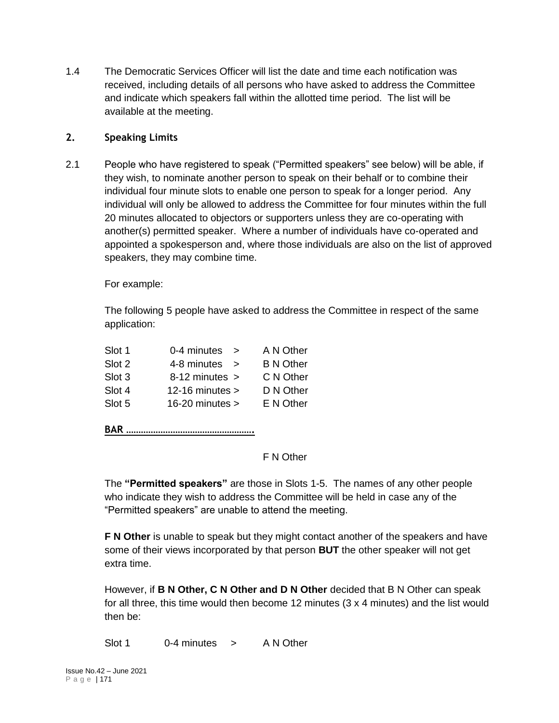1.4 The Democratic Services Officer will list the date and time each notification was received, including details of all persons who have asked to address the Committee and indicate which speakers fall within the allotted time period. The list will be available at the meeting.

#### **2. Speaking Limits**

2.1 People who have registered to speak ("Permitted speakers" see below) will be able, if they wish, to nominate another person to speak on their behalf or to combine their individual four minute slots to enable one person to speak for a longer period. Any individual will only be allowed to address the Committee for four minutes within the full 20 minutes allocated to objectors or supporters unless they are co-operating with another(s) permitted speaker. Where a number of individuals have co-operated and appointed a spokesperson and, where those individuals are also on the list of approved speakers, they may combine time.

For example:

The following 5 people have asked to address the Committee in respect of the same application:

| Slot 1 | 0-4 minutes<br>$\rightarrow$ | A N Other        |
|--------|------------------------------|------------------|
| Slot 2 | 4-8 minutes<br>$\rightarrow$ | <b>B N Other</b> |
| Slot 3 | $8-12$ minutes $>$           | C N Other        |
| Slot 4 | 12-16 minutes $>$            | D N Other        |
| Slot 5 | $16-20$ minutes $>$          | E N Other        |
|        |                              |                  |

**BAR …………………………………………….**

F N Other

The **"Permitted speakers"** are those in Slots 1-5. The names of any other people who indicate they wish to address the Committee will be held in case any of the "Permitted speakers" are unable to attend the meeting.

**F N Other** is unable to speak but they might contact another of the speakers and have some of their views incorporated by that person **BUT** the other speaker will not get extra time.

However, if **B N Other, C N Other and D N Other** decided that B N Other can speak for all three, this time would then become 12 minutes (3 x 4 minutes) and the list would then be:

Slot 1 0-4 minutes > A N Other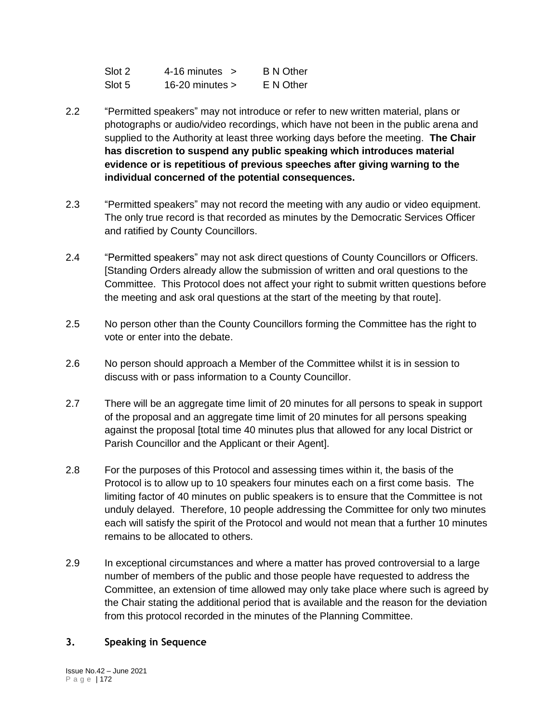| Slot 2 | $4-16$ minutes $>$ | <b>B N Other</b> |
|--------|--------------------|------------------|
| Slot 5 | 16-20 minutes $>$  | E N Other        |

- 2.2 "Permitted speakers" may not introduce or refer to new written material, plans or photographs or audio/video recordings, which have not been in the public arena and supplied to the Authority at least three working days before the meeting. **The Chair has discretion to suspend any public speaking which introduces material evidence or is repetitious of previous speeches after giving warning to the individual concerned of the potential consequences.**
- 2.3 "Permitted speakers" may not record the meeting with any audio or video equipment. The only true record is that recorded as minutes by the Democratic Services Officer and ratified by County Councillors.
- 2.4 "Permitted speakers" may not ask direct questions of County Councillors or Officers. [Standing Orders already allow the submission of written and oral questions to the Committee. This Protocol does not affect your right to submit written questions before the meeting and ask oral questions at the start of the meeting by that route].
- 2.5 No person other than the County Councillors forming the Committee has the right to vote or enter into the debate.
- 2.6 No person should approach a Member of the Committee whilst it is in session to discuss with or pass information to a County Councillor.
- 2.7 There will be an aggregate time limit of 20 minutes for all persons to speak in support of the proposal and an aggregate time limit of 20 minutes for all persons speaking against the proposal [total time 40 minutes plus that allowed for any local District or Parish Councillor and the Applicant or their Agent].
- 2.8 For the purposes of this Protocol and assessing times within it, the basis of the Protocol is to allow up to 10 speakers four minutes each on a first come basis. The limiting factor of 40 minutes on public speakers is to ensure that the Committee is not unduly delayed. Therefore, 10 people addressing the Committee for only two minutes each will satisfy the spirit of the Protocol and would not mean that a further 10 minutes remains to be allocated to others.
- 2.9 In exceptional circumstances and where a matter has proved controversial to a large number of members of the public and those people have requested to address the Committee, an extension of time allowed may only take place where such is agreed by the Chair stating the additional period that is available and the reason for the deviation from this protocol recorded in the minutes of the Planning Committee.

#### **3. Speaking in Sequence**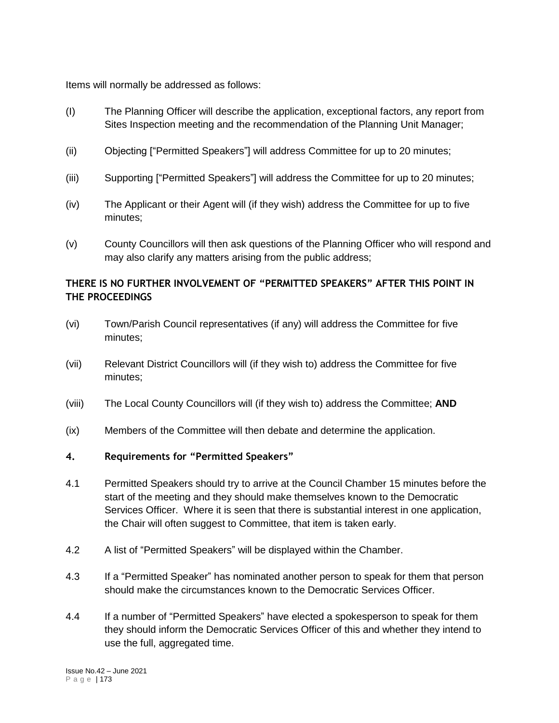Items will normally be addressed as follows:

- (I) The Planning Officer will describe the application, exceptional factors, any report from Sites Inspection meeting and the recommendation of the Planning Unit Manager;
- (ii) Objecting ["Permitted Speakers"] will address Committee for up to 20 minutes;
- (iii) Supporting ["Permitted Speakers"] will address the Committee for up to 20 minutes;
- (iv) The Applicant or their Agent will (if they wish) address the Committee for up to five minutes;
- (v) County Councillors will then ask questions of the Planning Officer who will respond and may also clarify any matters arising from the public address;

### **THERE IS NO FURTHER INVOLVEMENT OF "PERMITTED SPEAKERS" AFTER THIS POINT IN THE PROCEEDINGS**

- (vi) Town/Parish Council representatives (if any) will address the Committee for five minutes;
- (vii) Relevant District Councillors will (if they wish to) address the Committee for five minutes;
- (viii) The Local County Councillors will (if they wish to) address the Committee; **AND**
- (ix) Members of the Committee will then debate and determine the application.

#### **4. Requirements for "Permitted Speakers"**

- 4.1 Permitted Speakers should try to arrive at the Council Chamber 15 minutes before the start of the meeting and they should make themselves known to the Democratic Services Officer. Where it is seen that there is substantial interest in one application, the Chair will often suggest to Committee, that item is taken early.
- 4.2 A list of "Permitted Speakers" will be displayed within the Chamber.
- 4.3 If a "Permitted Speaker" has nominated another person to speak for them that person should make the circumstances known to the Democratic Services Officer.
- 4.4 If a number of "Permitted Speakers" have elected a spokesperson to speak for them they should inform the Democratic Services Officer of this and whether they intend to use the full, aggregated time.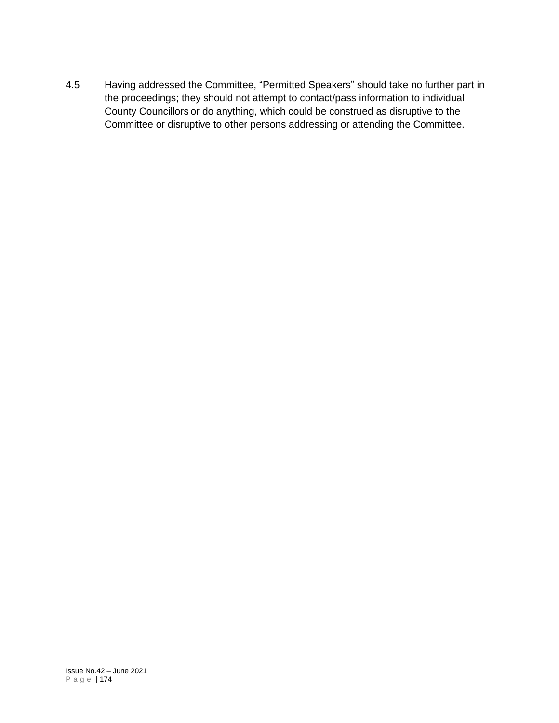4.5 Having addressed the Committee, "Permitted Speakers" should take no further part in the proceedings; they should not attempt to contact/pass information to individual County Councillors or do anything, which could be construed as disruptive to the Committee or disruptive to other persons addressing or attending the Committee.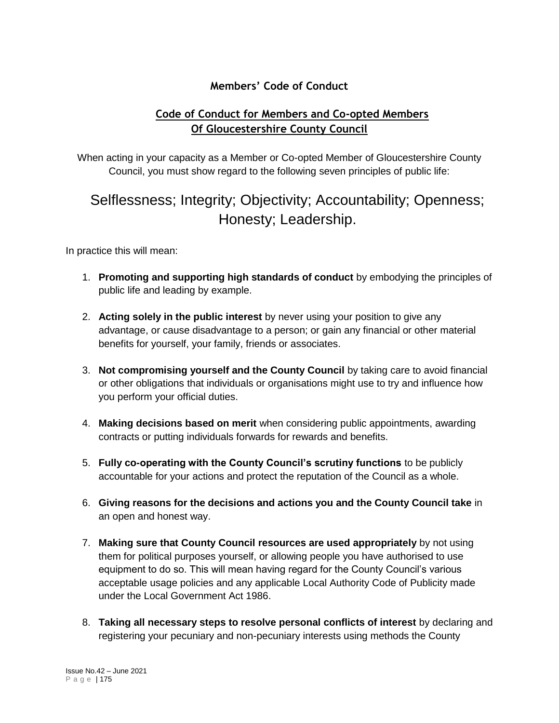## **Members' Code of Conduct**

# **Code of Conduct for Members and Co-opted Members Of Gloucestershire County Council**

When acting in your capacity as a Member or Co-opted Member of Gloucestershire County Council, you must show regard to the following seven principles of public life:

# Selflessness; Integrity; Objectivity; Accountability; Openness; Honesty; Leadership.

In practice this will mean:

- 1. **Promoting and supporting high standards of conduct** by embodying the principles of public life and leading by example.
- 2. **Acting solely in the public interest** by never using your position to give any advantage, or cause disadvantage to a person; or gain any financial or other material benefits for yourself, your family, friends or associates.
- 3. **Not compromising yourself and the County Council** by taking care to avoid financial or other obligations that individuals or organisations might use to try and influence how you perform your official duties.
- 4. **Making decisions based on merit** when considering public appointments, awarding contracts or putting individuals forwards for rewards and benefits.
- 5. **Fully co-operating with the County Council's scrutiny functions** to be publicly accountable for your actions and protect the reputation of the Council as a whole.
- 6. **Giving reasons for the decisions and actions you and the County Council take** in an open and honest way.
- 7. **Making sure that County Council resources are used appropriately** by not using them for political purposes yourself, or allowing people you have authorised to use equipment to do so. This will mean having regard for the County Council's various acceptable usage policies and any applicable Local Authority Code of Publicity made under the Local Government Act 1986.
- 8. **Taking all necessary steps to resolve personal conflicts of interest** by declaring and registering your pecuniary and non-pecuniary interests using methods the County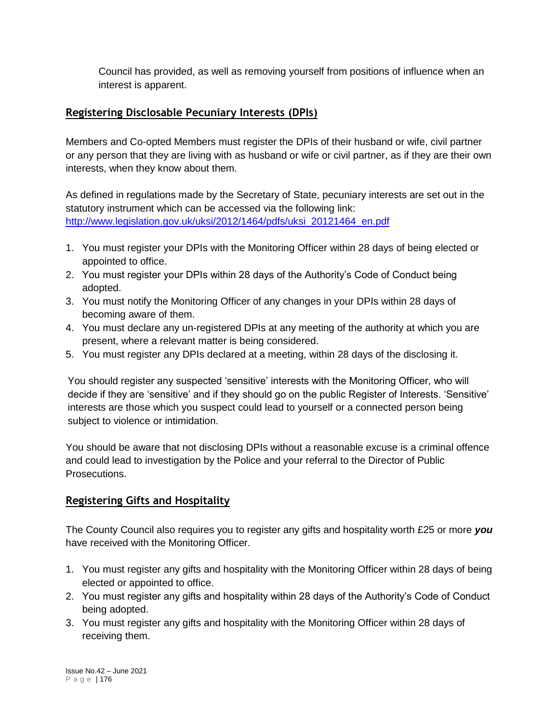Council has provided, as well as removing yourself from positions of influence when an interest is apparent.

## **Registering Disclosable Pecuniary Interests (DPIs)**

Members and Co-opted Members must register the DPIs of their husband or wife, civil partner or any person that they are living with as husband or wife or civil partner, as if they are their own interests, when they know about them.

As defined in regulations made by the Secretary of State, pecuniary interests are set out in the statutory instrument which can be accessed via the following link: [http://www.legislation.gov.uk/uksi/2012/1464/pdfs/uksi\\_20121464\\_en.pdf](http://www.legislation.gov.uk/uksi/2012/1464/pdfs/uksi_20121464_en.pdf)

- 1. You must register your DPIs with the Monitoring Officer within 28 days of being elected or appointed to office.
- 2. You must register your DPIs within 28 days of the Authority's Code of Conduct being adopted.
- 3. You must notify the Monitoring Officer of any changes in your DPIs within 28 days of becoming aware of them.
- 4. You must declare any un-registered DPIs at any meeting of the authority at which you are present, where a relevant matter is being considered.
- 5. You must register any DPIs declared at a meeting, within 28 days of the disclosing it.

You should register any suspected 'sensitive' interests with the Monitoring Officer, who will decide if they are 'sensitive' and if they should go on the public Register of Interests. 'Sensitive' interests are those which you suspect could lead to yourself or a connected person being subject to violence or intimidation.

You should be aware that not disclosing DPIs without a reasonable excuse is a criminal offence and could lead to investigation by the Police and your referral to the Director of Public Prosecutions.

# **Registering Gifts and Hospitality**

The County Council also requires you to register any gifts and hospitality worth £25 or more *you* have received with the Monitoring Officer.

- 1. You must register any gifts and hospitality with the Monitoring Officer within 28 days of being elected or appointed to office.
- 2. You must register any gifts and hospitality within 28 days of the Authority's Code of Conduct being adopted.
- 3. You must register any gifts and hospitality with the Monitoring Officer within 28 days of receiving them.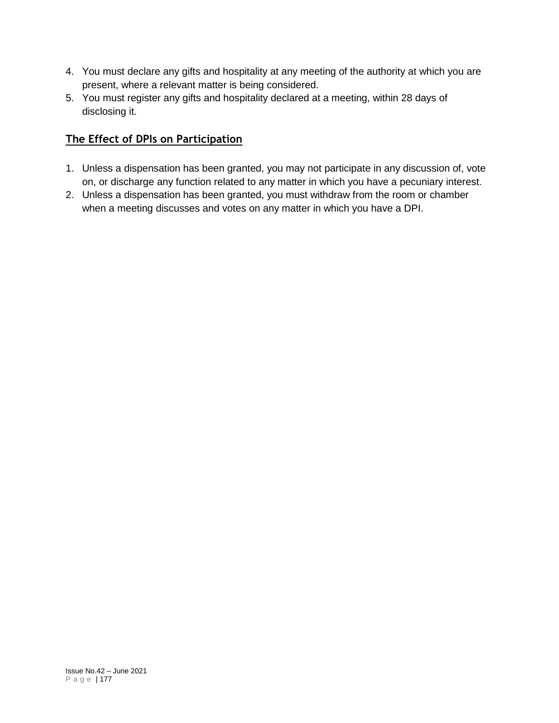- 4. You must declare any gifts and hospitality at any meeting of the authority at which you are present, where a relevant matter is being considered.
- 5. You must register any gifts and hospitality declared at a meeting, within 28 days of disclosing it.

# **The Effect of DPIs on Participation**

- 1. Unless a dispensation has been granted, you may not participate in any discussion of, vote on, or discharge any function related to any matter in which you have a pecuniary interest.
- 2. Unless a dispensation has been granted, you must withdraw from the room or chamber when a meeting discusses and votes on any matter in which you have a DPI.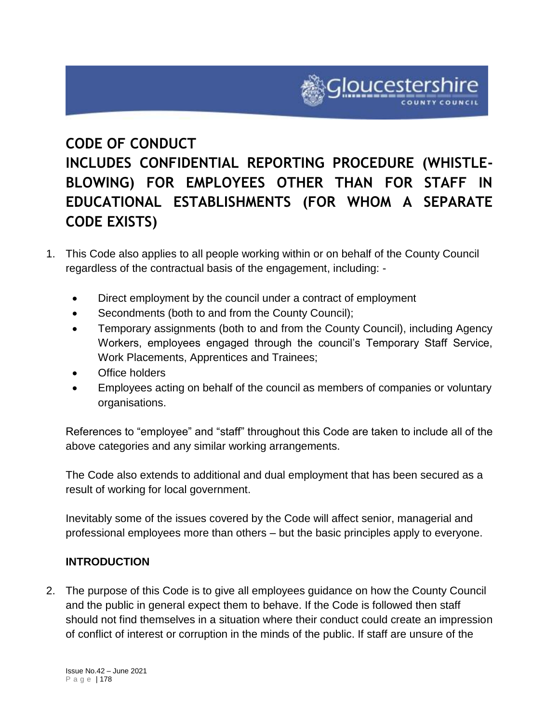# **CODE OF CONDUCT**

# **INCLUDES CONFIDENTIAL REPORTING PROCEDURE (WHISTLE-BLOWING) FOR EMPLOYEES OTHER THAN FOR STAFF IN EDUCATIONAL ESTABLISHMENTS (FOR WHOM A SEPARATE CODE EXISTS)**

- 1. This Code also applies to all people working within or on behalf of the County Council regardless of the contractual basis of the engagement, including: -
	- Direct employment by the council under a contract of employment
	- Secondments (both to and from the County Council);
	- Temporary assignments (both to and from the County Council), including Agency Workers, employees engaged through the council's Temporary Staff Service, Work Placements, Apprentices and Trainees;
	- Office holders
	- Employees acting on behalf of the council as members of companies or voluntary organisations.

References to "employee" and "staff" throughout this Code are taken to include all of the above categories and any similar working arrangements.

The Code also extends to additional and dual employment that has been secured as a result of working for local government.

Inevitably some of the issues covered by the Code will affect senior, managerial and professional employees more than others – but the basic principles apply to everyone.

# **INTRODUCTION**

2. The purpose of this Code is to give all employees guidance on how the County Council and the public in general expect them to behave. If the Code is followed then staff should not find themselves in a situation where their conduct could create an impression of conflict of interest or corruption in the minds of the public. If staff are unsure of the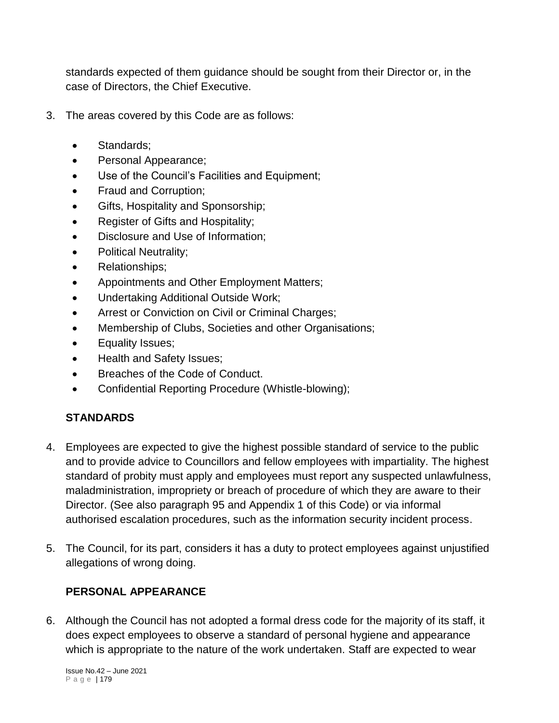standards expected of them guidance should be sought from their Director or, in the case of Directors, the Chief Executive.

- 3. The areas covered by this Code are as follows:
	- Standards;
	- Personal Appearance;
	- Use of the Council's Facilities and Equipment;
	- Fraud and Corruption;
	- Gifts, Hospitality and Sponsorship;
	- Register of Gifts and Hospitality;
	- Disclosure and Use of Information;
	- Political Neutrality;
	- Relationships;
	- Appointments and Other Employment Matters;
	- Undertaking Additional Outside Work;
	- Arrest or Conviction on Civil or Criminal Charges;
	- Membership of Clubs, Societies and other Organisations;
	- Equality Issues;
	- Health and Safety Issues:
	- Breaches of the Code of Conduct.
	- Confidential Reporting Procedure (Whistle-blowing);

# **STANDARDS**

- 4. Employees are expected to give the highest possible standard of service to the public and to provide advice to Councillors and fellow employees with impartiality. The highest standard of probity must apply and employees must report any suspected unlawfulness, maladministration, impropriety or breach of procedure of which they are aware to their Director. (See also paragraph 95 and Appendix 1 of this Code) or via informal authorised escalation procedures, such as the information security incident process.
- 5. The Council, for its part, considers it has a duty to protect employees against unjustified allegations of wrong doing.

## **PERSONAL APPEARANCE**

6. Although the Council has not adopted a formal dress code for the majority of its staff, it does expect employees to observe a standard of personal hygiene and appearance which is appropriate to the nature of the work undertaken. Staff are expected to wear

Issue No.42 – June 2021 P a g e | 179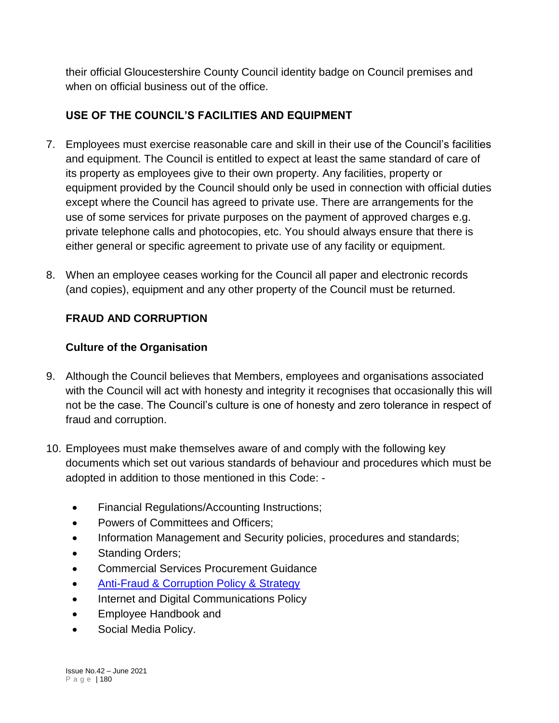their official Gloucestershire County Council identity badge on Council premises and when on official business out of the office.

# **USE OF THE COUNCIL'S FACILITIES AND EQUIPMENT**

- 7. Employees must exercise reasonable care and skill in their use of the Council's facilities and equipment. The Council is entitled to expect at least the same standard of care of its property as employees give to their own property. Any facilities, property or equipment provided by the Council should only be used in connection with official duties except where the Council has agreed to private use. There are arrangements for the use of some services for private purposes on the payment of approved charges e.g. private telephone calls and photocopies, etc. You should always ensure that there is either general or specific agreement to private use of any facility or equipment.
- 8. When an employee ceases working for the Council all paper and electronic records (and copies), equipment and any other property of the Council must be returned.

# **FRAUD AND CORRUPTION**

# **Culture of the Organisation**

- 9. Although the Council believes that Members, employees and organisations associated with the Council will act with honesty and integrity it recognises that occasionally this will not be the case. The Council's culture is one of honesty and zero tolerance in respect of fraud and corruption.
- 10. Employees must make themselves aware of and comply with the following key documents which set out various standards of behaviour and procedures which must be adopted in addition to those mentioned in this Code: -
	- Financial Regulations/Accounting Instructions;
	- Powers of Committees and Officers;
	- Information Management and Security policies, procedures and standards;
	- Standing Orders;
	- Commercial Services Procurement Guidance
	- [Anti-Fraud & Corruption Policy & Strategy](http://glostext.gloucestershire.gov.uk/documents/s35167/Anti%20Fraud%20Policy-%20Strategy%20-%202017%20-%202019%20v7-3.pdf)
	- Internet and Digital Communications Policy
	- Employee Handbook and
	- Social Media Policy.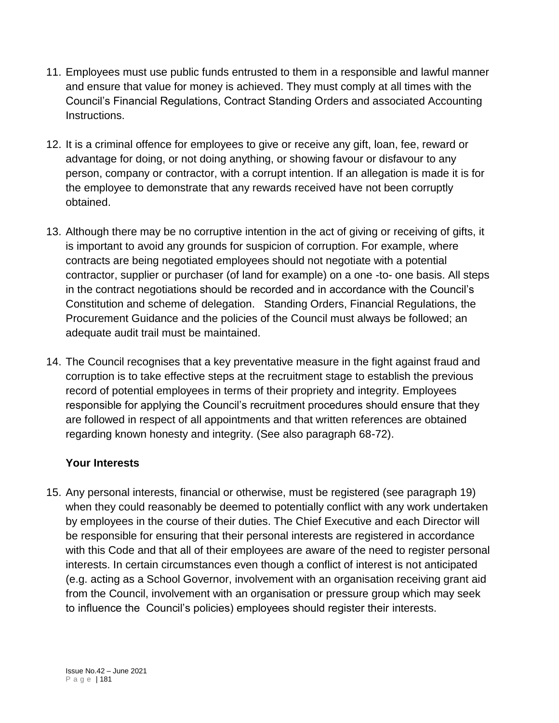- 11. Employees must use public funds entrusted to them in a responsible and lawful manner and ensure that value for money is achieved. They must comply at all times with the Council's Financial Regulations, Contract Standing Orders and associated Accounting Instructions.
- 12. It is a criminal offence for employees to give or receive any gift, loan, fee, reward or advantage for doing, or not doing anything, or showing favour or disfavour to any person, company or contractor, with a corrupt intention. If an allegation is made it is for the employee to demonstrate that any rewards received have not been corruptly obtained.
- 13. Although there may be no corruptive intention in the act of giving or receiving of gifts, it is important to avoid any grounds for suspicion of corruption. For example, where contracts are being negotiated employees should not negotiate with a potential contractor, supplier or purchaser (of land for example) on a one -to- one basis. All steps in the contract negotiations should be recorded and in accordance with the Council's Constitution and scheme of delegation. Standing Orders, Financial Regulations, the Procurement Guidance and the policies of the Council must always be followed; an adequate audit trail must be maintained.
- 14. The Council recognises that a key preventative measure in the fight against fraud and corruption is to take effective steps at the recruitment stage to establish the previous record of potential employees in terms of their propriety and integrity. Employees responsible for applying the Council's recruitment procedures should ensure that they are followed in respect of all appointments and that written references are obtained regarding known honesty and integrity. (See also paragraph 68-72).

## **Your Interests**

15. Any personal interests, financial or otherwise, must be registered (see paragraph 19) when they could reasonably be deemed to potentially conflict with any work undertaken by employees in the course of their duties. The Chief Executive and each Director will be responsible for ensuring that their personal interests are registered in accordance with this Code and that all of their employees are aware of the need to register personal interests. In certain circumstances even though a conflict of interest is not anticipated (e.g. acting as a School Governor, involvement with an organisation receiving grant aid from the Council, involvement with an organisation or pressure group which may seek to influence the Council's policies) employees should register their interests.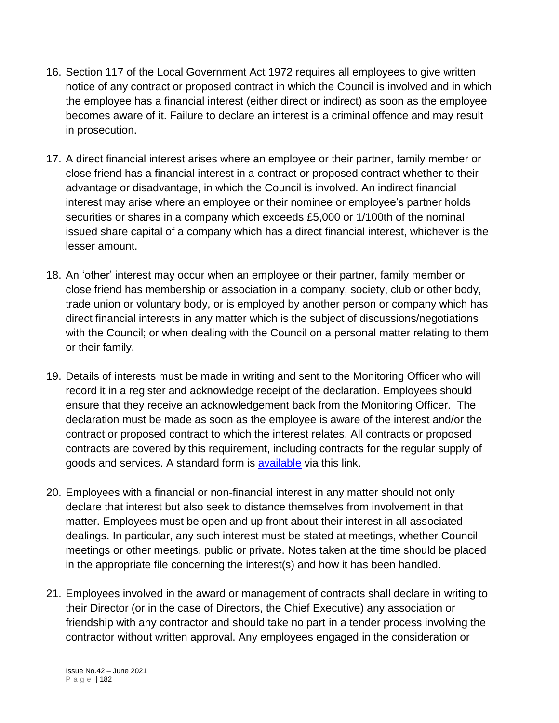- 16. Section 117 of the Local Government Act 1972 requires all employees to give written notice of any contract or proposed contract in which the Council is involved and in which the employee has a financial interest (either direct or indirect) as soon as the employee becomes aware of it. Failure to declare an interest is a criminal offence and may result in prosecution.
- 17. A direct financial interest arises where an employee or their partner, family member or close friend has a financial interest in a contract or proposed contract whether to their advantage or disadvantage, in which the Council is involved. An indirect financial interest may arise where an employee or their nominee or employee's partner holds securities or shares in a company which exceeds £5,000 or 1/100th of the nominal issued share capital of a company which has a direct financial interest, whichever is the lesser amount.
- 18. An 'other' interest may occur when an employee or their partner, family member or close friend has membership or association in a company, society, club or other body, trade union or voluntary body, or is employed by another person or company which has direct financial interests in any matter which is the subject of discussions/negotiations with the Council; or when dealing with the Council on a personal matter relating to them or their family.
- 19. Details of interests must be made in writing and sent to the Monitoring Officer who will record it in a register and acknowledge receipt of the declaration. Employees should ensure that they receive an acknowledgement back from the Monitoring Officer. The declaration must be made as soon as the employee is aware of the interest and/or the contract or proposed contract to which the interest relates. All contracts or proposed contracts are covered by this requirement, including contracts for the regular supply of goods and services. A standard form is [available](https://staffnet.gloucestershire.gov.uk/media/218286/register_of_staff_interests-september-2017.docx) via this link.
- 20. Employees with a financial or non-financial interest in any matter should not only declare that interest but also seek to distance themselves from involvement in that matter. Employees must be open and up front about their interest in all associated dealings. In particular, any such interest must be stated at meetings, whether Council meetings or other meetings, public or private. Notes taken at the time should be placed in the appropriate file concerning the interest(s) and how it has been handled.
- 21. Employees involved in the award or management of contracts shall declare in writing to their Director (or in the case of Directors, the Chief Executive) any association or friendship with any contractor and should take no part in a tender process involving the contractor without written approval. Any employees engaged in the consideration or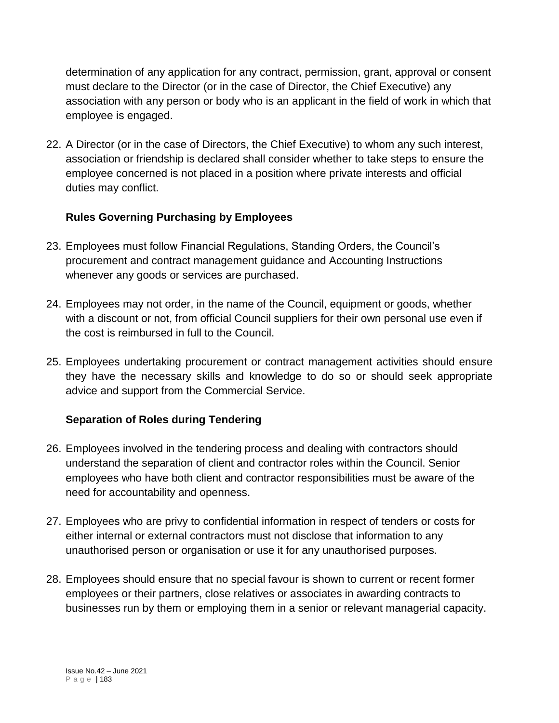determination of any application for any contract, permission, grant, approval or consent must declare to the Director (or in the case of Director, the Chief Executive) any association with any person or body who is an applicant in the field of work in which that employee is engaged.

22. A Director (or in the case of Directors, the Chief Executive) to whom any such interest, association or friendship is declared shall consider whether to take steps to ensure the employee concerned is not placed in a position where private interests and official duties may conflict.

# **Rules Governing Purchasing by Employees**

- 23. Employees must follow Financial Regulations, Standing Orders, the Council's procurement and contract management guidance and Accounting Instructions whenever any goods or services are purchased.
- 24. Employees may not order, in the name of the Council, equipment or goods, whether with a discount or not, from official Council suppliers for their own personal use even if the cost is reimbursed in full to the Council.
- 25. Employees undertaking procurement or contract management activities should ensure they have the necessary skills and knowledge to do so or should seek appropriate advice and support from the Commercial Service.

# **Separation of Roles during Tendering**

- 26. Employees involved in the tendering process and dealing with contractors should understand the separation of client and contractor roles within the Council. Senior employees who have both client and contractor responsibilities must be aware of the need for accountability and openness.
- 27. Employees who are privy to confidential information in respect of tenders or costs for either internal or external contractors must not disclose that information to any unauthorised person or organisation or use it for any unauthorised purposes.
- 28. Employees should ensure that no special favour is shown to current or recent former employees or their partners, close relatives or associates in awarding contracts to businesses run by them or employing them in a senior or relevant managerial capacity.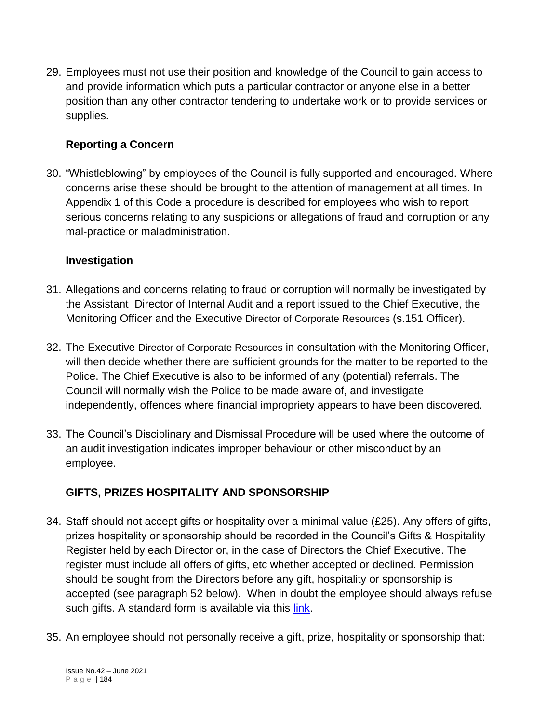29. Employees must not use their position and knowledge of the Council to gain access to and provide information which puts a particular contractor or anyone else in a better position than any other contractor tendering to undertake work or to provide services or supplies.

# **Reporting a Concern**

30. "Whistleblowing" by employees of the Council is fully supported and encouraged. Where concerns arise these should be brought to the attention of management at all times. In Appendix 1 of this Code a procedure is described for employees who wish to report serious concerns relating to any suspicions or allegations of fraud and corruption or any mal-practice or maladministration.

## **Investigation**

- 31. Allegations and concerns relating to fraud or corruption will normally be investigated by the Assistant Director of Internal Audit and a report issued to the Chief Executive, the Monitoring Officer and the Executive Director of Corporate Resources (s.151 Officer).
- 32. The Executive Director of Corporate Resources in consultation with the Monitoring Officer, will then decide whether there are sufficient grounds for the matter to be reported to the Police. The Chief Executive is also to be informed of any (potential) referrals. The Council will normally wish the Police to be made aware of, and investigate independently, offences where financial impropriety appears to have been discovered.
- 33. The Council's Disciplinary and Dismissal Procedure will be used where the outcome of an audit investigation indicates improper behaviour or other misconduct by an employee.

## **GIFTS, PRIZES HOSPITALITY AND SPONSORSHIP**

- 34. Staff should not accept gifts or hospitality over a minimal value (£25). Any offers of gifts, prizes hospitality or sponsorship should be recorded in the Council's Gifts & Hospitality Register held by each Director or, in the case of Directors the Chief Executive. The register must include all offers of gifts, etc whether accepted or declined. Permission should be sought from the Directors before any gift, hospitality or sponsorship is accepted (see paragraph 52 below). When in doubt the employee should always refuse such gifts. A standard form is available via this [link.](https://staffnet.gloucestershire.gov.uk/media/218287/register-of-gifts-and-hospitality-may-2019.doc)
- 35. An employee should not personally receive a gift, prize, hospitality or sponsorship that: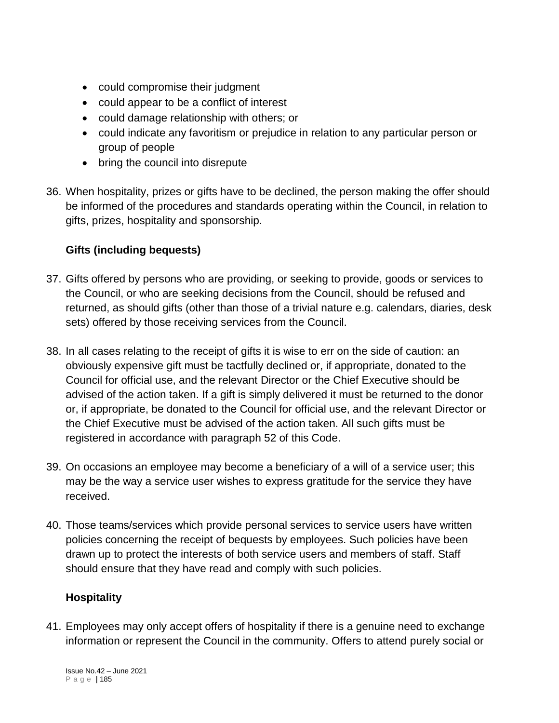- could compromise their judgment
- could appear to be a conflict of interest
- could damage relationship with others; or
- could indicate any favoritism or prejudice in relation to any particular person or group of people
- bring the council into disrepute
- 36. When hospitality, prizes or gifts have to be declined, the person making the offer should be informed of the procedures and standards operating within the Council, in relation to gifts, prizes, hospitality and sponsorship.

# **Gifts (including bequests)**

- 37. Gifts offered by persons who are providing, or seeking to provide, goods or services to the Council, or who are seeking decisions from the Council, should be refused and returned, as should gifts (other than those of a trivial nature e.g. calendars, diaries, desk sets) offered by those receiving services from the Council.
- 38. In all cases relating to the receipt of gifts it is wise to err on the side of caution: an obviously expensive gift must be tactfully declined or, if appropriate, donated to the Council for official use, and the relevant Director or the Chief Executive should be advised of the action taken. If a gift is simply delivered it must be returned to the donor or, if appropriate, be donated to the Council for official use, and the relevant Director or the Chief Executive must be advised of the action taken. All such gifts must be registered in accordance with paragraph 52 of this Code.
- 39. On occasions an employee may become a beneficiary of a will of a service user; this may be the way a service user wishes to express gratitude for the service they have received.
- 40. Those teams/services which provide personal services to service users have written policies concerning the receipt of bequests by employees. Such policies have been drawn up to protect the interests of both service users and members of staff. Staff should ensure that they have read and comply with such policies.

# **Hospitality**

41. Employees may only accept offers of hospitality if there is a genuine need to exchange information or represent the Council in the community. Offers to attend purely social or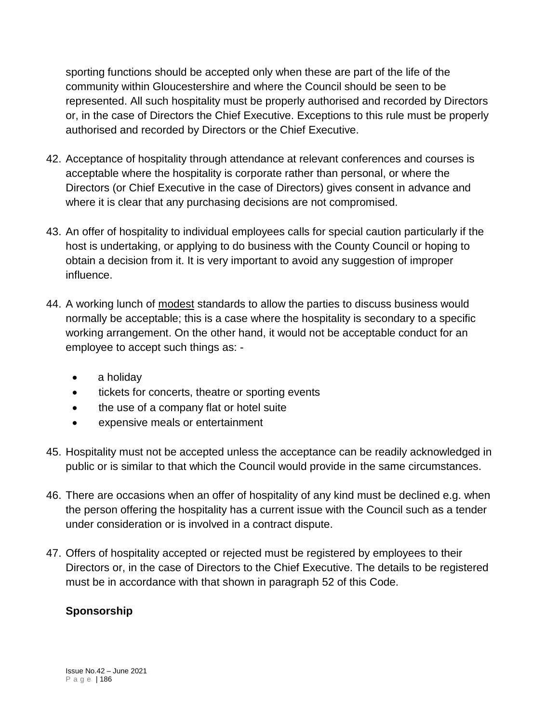sporting functions should be accepted only when these are part of the life of the community within Gloucestershire and where the Council should be seen to be represented. All such hospitality must be properly authorised and recorded by Directors or, in the case of Directors the Chief Executive. Exceptions to this rule must be properly authorised and recorded by Directors or the Chief Executive.

- 42. Acceptance of hospitality through attendance at relevant conferences and courses is acceptable where the hospitality is corporate rather than personal, or where the Directors (or Chief Executive in the case of Directors) gives consent in advance and where it is clear that any purchasing decisions are not compromised.
- 43. An offer of hospitality to individual employees calls for special caution particularly if the host is undertaking, or applying to do business with the County Council or hoping to obtain a decision from it. It is very important to avoid any suggestion of improper influence.
- 44. A working lunch of modest standards to allow the parties to discuss business would normally be acceptable; this is a case where the hospitality is secondary to a specific working arrangement. On the other hand, it would not be acceptable conduct for an employee to accept such things as: -
	- a holiday
	- tickets for concerts, theatre or sporting events
	- the use of a company flat or hotel suite
	- expensive meals or entertainment
- 45. Hospitality must not be accepted unless the acceptance can be readily acknowledged in public or is similar to that which the Council would provide in the same circumstances.
- 46. There are occasions when an offer of hospitality of any kind must be declined e.g. when the person offering the hospitality has a current issue with the Council such as a tender under consideration or is involved in a contract dispute.
- 47. Offers of hospitality accepted or rejected must be registered by employees to their Directors or, in the case of Directors to the Chief Executive. The details to be registered must be in accordance with that shown in paragraph 52 of this Code.

# **Sponsorship**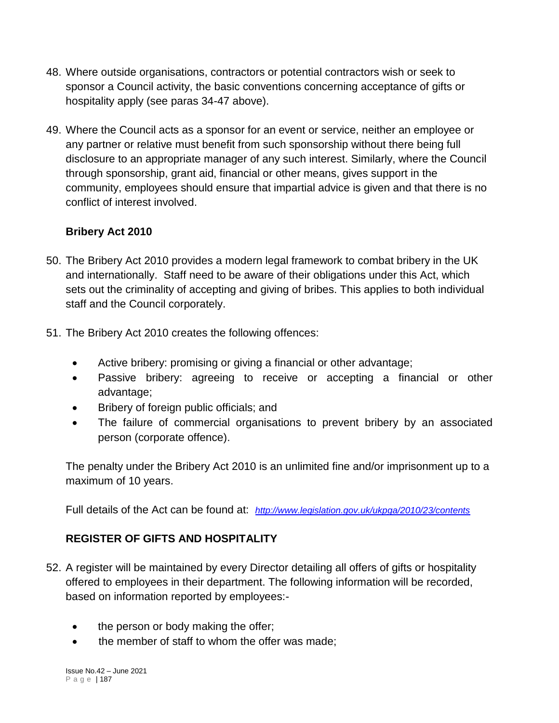- 48. Where outside organisations, contractors or potential contractors wish or seek to sponsor a Council activity, the basic conventions concerning acceptance of gifts or hospitality apply (see paras 34-47 above).
- 49. Where the Council acts as a sponsor for an event or service, neither an employee or any partner or relative must benefit from such sponsorship without there being full disclosure to an appropriate manager of any such interest. Similarly, where the Council through sponsorship, grant aid, financial or other means, gives support in the community, employees should ensure that impartial advice is given and that there is no conflict of interest involved.

## **Bribery Act 2010**

- 50. The Bribery Act 2010 provides a modern legal framework to combat bribery in the UK and internationally. Staff need to be aware of their obligations under this Act, which sets out the criminality of accepting and giving of bribes. This applies to both individual staff and the Council corporately.
- 51. The Bribery Act 2010 creates the following offences:
	- Active bribery: promising or giving a financial or other advantage;
	- Passive bribery: agreeing to receive or accepting a financial or other advantage;
	- Bribery of foreign public officials; and
	- The failure of commercial organisations to prevent bribery by an associated person (corporate offence).

The penalty under the Bribery Act 2010 is an unlimited fine and/or imprisonment up to a maximum of 10 years.

Full details of the Act can be found at: *<http://www.legislation.gov.uk/ukpga/2010/23/contents>*

# **REGISTER OF GIFTS AND HOSPITALITY**

- 52. A register will be maintained by every Director detailing all offers of gifts or hospitality offered to employees in their department. The following information will be recorded, based on information reported by employees:-
	- the person or body making the offer;
	- the member of staff to whom the offer was made;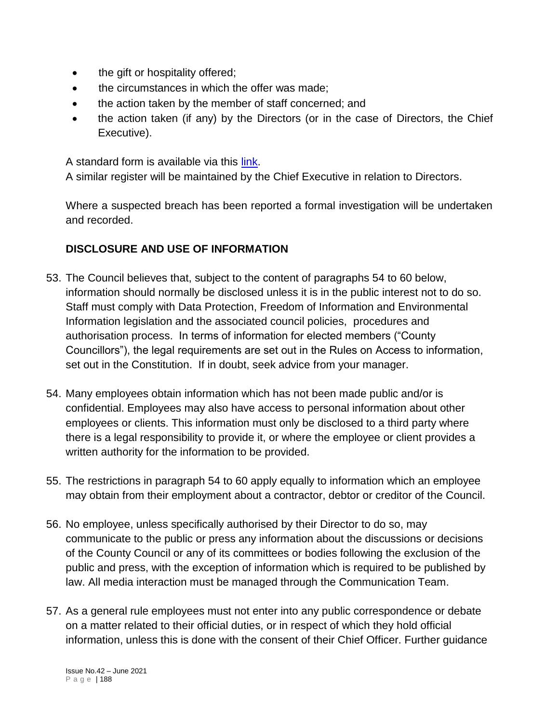- the gift or hospitality offered;
- the circumstances in which the offer was made;
- the action taken by the member of staff concerned: and
- the action taken (if any) by the Directors (or in the case of Directors, the Chief Executive).

A standard form is available via this [link.](https://staffnet.gloucestershire.gov.uk/media/218286/register_of_staff_interests-september-2017.docx)

A similar register will be maintained by the Chief Executive in relation to Directors.

Where a suspected breach has been reported a formal investigation will be undertaken and recorded.

## **DISCLOSURE AND USE OF INFORMATION**

- 53. The Council believes that, subject to the content of paragraphs 54 to 60 below, information should normally be disclosed unless it is in the public interest not to do so. Staff must comply with Data Protection, Freedom of Information and Environmental Information legislation and the associated council policies, procedures and authorisation process. In terms of information for elected members ("County Councillors"), the legal requirements are set out in the Rules on Access to information, set out in the Constitution. If in doubt, seek advice from your manager.
- 54. Many employees obtain information which has not been made public and/or is confidential. Employees may also have access to personal information about other employees or clients. This information must only be disclosed to a third party where there is a legal responsibility to provide it, or where the employee or client provides a written authority for the information to be provided.
- 55. The restrictions in paragraph 54 to 60 apply equally to information which an employee may obtain from their employment about a contractor, debtor or creditor of the Council.
- 56. No employee, unless specifically authorised by their Director to do so, may communicate to the public or press any information about the discussions or decisions of the County Council or any of its committees or bodies following the exclusion of the public and press, with the exception of information which is required to be published by law. All media interaction must be managed through the Communication Team.
- 57. As a general rule employees must not enter into any public correspondence or debate on a matter related to their official duties, or in respect of which they hold official information, unless this is done with the consent of their Chief Officer. Further guidance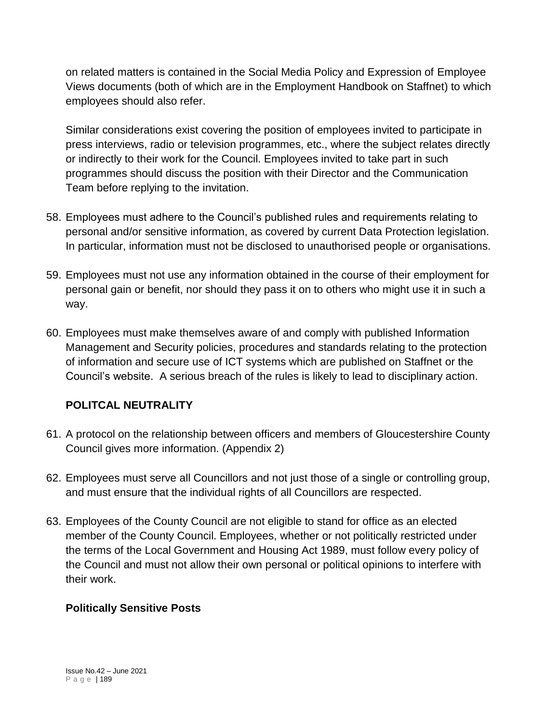on related matters is contained in the Social Media Policy and Expression of Employee Views documents (both of which are in the Employment Handbook on Staffnet) to which employees should also refer.

Similar considerations exist covering the position of employees invited to participate in press interviews, radio or television programmes, etc., where the subject relates directly or indirectly to their work for the Council. Employees invited to take part in such programmes should discuss the position with their Director and the Communication Team before replying to the invitation.

- 58. Employees must adhere to the Council's published rules and requirements relating to personal and/or sensitive information, as covered by current Data Protection legislation. In particular, information must not be disclosed to unauthorised people or organisations.
- 59. Employees must not use any information obtained in the course of their employment for personal gain or benefit, nor should they pass it on to others who might use it in such a way.
- 60. Employees must make themselves aware of and comply with published Information Management and Security policies, procedures and standards relating to the protection of information and secure use of ICT systems which are published on Staffnet or the Council's website. A serious breach of the rules is likely to lead to disciplinary action.

# **POLITCAL NEUTRALITY**

- 61. A protocol on the relationship between officers and members of Gloucestershire County Council gives more information. (Appendix 2)
- 62. Employees must serve all Councillors and not just those of a single or controlling group, and must ensure that the individual rights of all Councillors are respected.
- 63. Employees of the County Council are not eligible to stand for office as an elected member of the County Council. Employees, whether or not politically restricted under the terms of the Local Government and Housing Act 1989, must follow every policy of the Council and must not allow their own personal or political opinions to interfere with their work.

## **Politically Sensitive Posts**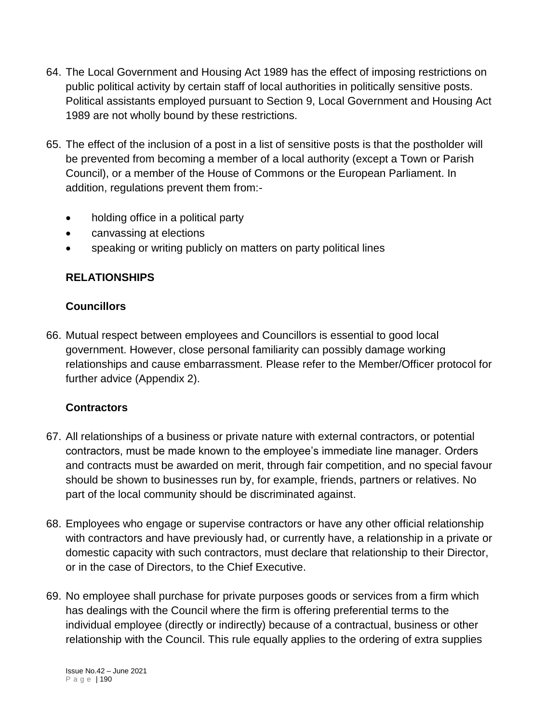- 64. The Local Government and Housing Act 1989 has the effect of imposing restrictions on public political activity by certain staff of local authorities in politically sensitive posts. Political assistants employed pursuant to Section 9, Local Government and Housing Act 1989 are not wholly bound by these restrictions.
- 65. The effect of the inclusion of a post in a list of sensitive posts is that the postholder will be prevented from becoming a member of a local authority (except a Town or Parish Council), or a member of the House of Commons or the European Parliament. In addition, regulations prevent them from:-
	- holding office in a political party
	- canvassing at elections
	- speaking or writing publicly on matters on party political lines

# **RELATIONSHIPS**

## **Councillors**

66. Mutual respect between employees and Councillors is essential to good local government. However, close personal familiarity can possibly damage working relationships and cause embarrassment. Please refer to the Member/Officer protocol for further advice (Appendix 2).

## **Contractors**

- 67. All relationships of a business or private nature with external contractors, or potential contractors, must be made known to the employee's immediate line manager. Orders and contracts must be awarded on merit, through fair competition, and no special favour should be shown to businesses run by, for example, friends, partners or relatives. No part of the local community should be discriminated against.
- 68. Employees who engage or supervise contractors or have any other official relationship with contractors and have previously had, or currently have, a relationship in a private or domestic capacity with such contractors, must declare that relationship to their Director, or in the case of Directors, to the Chief Executive.
- 69. No employee shall purchase for private purposes goods or services from a firm which has dealings with the Council where the firm is offering preferential terms to the individual employee (directly or indirectly) because of a contractual, business or other relationship with the Council. This rule equally applies to the ordering of extra supplies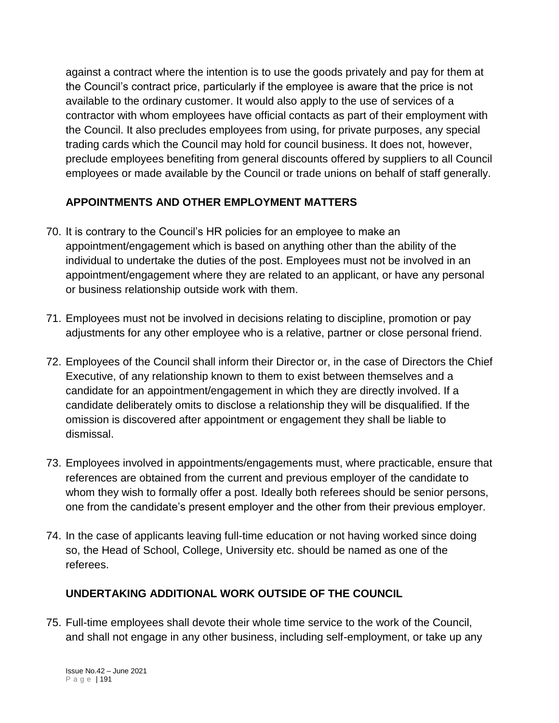against a contract where the intention is to use the goods privately and pay for them at the Council's contract price, particularly if the employee is aware that the price is not available to the ordinary customer. It would also apply to the use of services of a contractor with whom employees have official contacts as part of their employment with the Council. It also precludes employees from using, for private purposes, any special trading cards which the Council may hold for council business. It does not, however, preclude employees benefiting from general discounts offered by suppliers to all Council employees or made available by the Council or trade unions on behalf of staff generally.

# **APPOINTMENTS AND OTHER EMPLOYMENT MATTERS**

- 70. It is contrary to the Council's HR policies for an employee to make an appointment/engagement which is based on anything other than the ability of the individual to undertake the duties of the post. Employees must not be involved in an appointment/engagement where they are related to an applicant, or have any personal or business relationship outside work with them.
- 71. Employees must not be involved in decisions relating to discipline, promotion or pay adjustments for any other employee who is a relative, partner or close personal friend.
- 72. Employees of the Council shall inform their Director or, in the case of Directors the Chief Executive, of any relationship known to them to exist between themselves and a candidate for an appointment/engagement in which they are directly involved. If a candidate deliberately omits to disclose a relationship they will be disqualified. If the omission is discovered after appointment or engagement they shall be liable to dismissal.
- 73. Employees involved in appointments/engagements must, where practicable, ensure that references are obtained from the current and previous employer of the candidate to whom they wish to formally offer a post. Ideally both referees should be senior persons, one from the candidate's present employer and the other from their previous employer.
- 74. In the case of applicants leaving full-time education or not having worked since doing so, the Head of School, College, University etc. should be named as one of the referees.

# **UNDERTAKING ADDITIONAL WORK OUTSIDE OF THE COUNCIL**

75. Full-time employees shall devote their whole time service to the work of the Council, and shall not engage in any other business, including self-employment, or take up any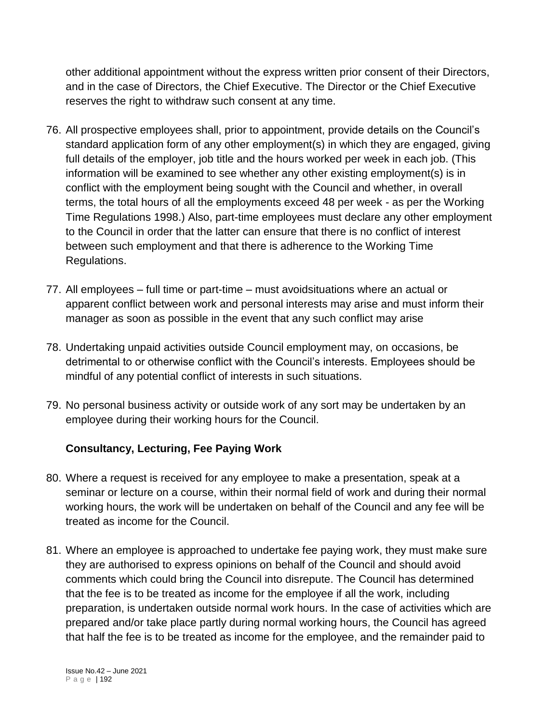other additional appointment without the express written prior consent of their Directors, and in the case of Directors, the Chief Executive. The Director or the Chief Executive reserves the right to withdraw such consent at any time.

- 76. All prospective employees shall, prior to appointment, provide details on the Council's standard application form of any other employment(s) in which they are engaged, giving full details of the employer, job title and the hours worked per week in each job. (This information will be examined to see whether any other existing employment(s) is in conflict with the employment being sought with the Council and whether, in overall terms, the total hours of all the employments exceed 48 per week - as per the Working Time Regulations 1998.) Also, part-time employees must declare any other employment to the Council in order that the latter can ensure that there is no conflict of interest between such employment and that there is adherence to the Working Time Regulations.
- 77. All employees full time or part-time must avoidsituations where an actual or apparent conflict between work and personal interests may arise and must inform their manager as soon as possible in the event that any such conflict may arise
- 78. Undertaking unpaid activities outside Council employment may, on occasions, be detrimental to or otherwise conflict with the Council's interests. Employees should be mindful of any potential conflict of interests in such situations.
- 79. No personal business activity or outside work of any sort may be undertaken by an employee during their working hours for the Council.

## **Consultancy, Lecturing, Fee Paying Work**

- 80. Where a request is received for any employee to make a presentation, speak at a seminar or lecture on a course, within their normal field of work and during their normal working hours, the work will be undertaken on behalf of the Council and any fee will be treated as income for the Council.
- 81. Where an employee is approached to undertake fee paying work, they must make sure they are authorised to express opinions on behalf of the Council and should avoid comments which could bring the Council into disrepute. The Council has determined that the fee is to be treated as income for the employee if all the work, including preparation, is undertaken outside normal work hours. In the case of activities which are prepared and/or take place partly during normal working hours, the Council has agreed that half the fee is to be treated as income for the employee, and the remainder paid to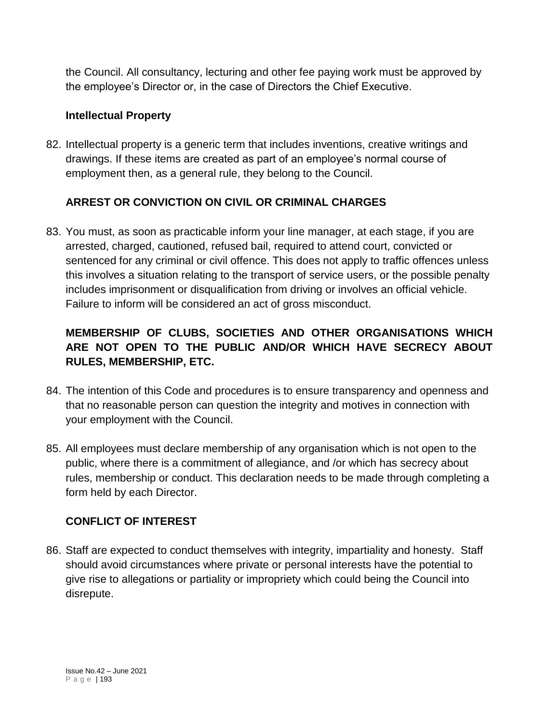the Council. All consultancy, lecturing and other fee paying work must be approved by the employee's Director or, in the case of Directors the Chief Executive.

## **Intellectual Property**

82. Intellectual property is a generic term that includes inventions, creative writings and drawings. If these items are created as part of an employee's normal course of employment then, as a general rule, they belong to the Council.

# **ARREST OR CONVICTION ON CIVIL OR CRIMINAL CHARGES**

83. You must, as soon as practicable inform your line manager, at each stage, if you are arrested, charged, cautioned, refused bail, required to attend court, convicted or sentenced for any criminal or civil offence. This does not apply to traffic offences unless this involves a situation relating to the transport of service users, or the possible penalty includes imprisonment or disqualification from driving or involves an official vehicle. Failure to inform will be considered an act of gross misconduct.

# **MEMBERSHIP OF CLUBS, SOCIETIES AND OTHER ORGANISATIONS WHICH ARE NOT OPEN TO THE PUBLIC AND/OR WHICH HAVE SECRECY ABOUT RULES, MEMBERSHIP, ETC.**

- 84. The intention of this Code and procedures is to ensure transparency and openness and that no reasonable person can question the integrity and motives in connection with your employment with the Council.
- 85. All employees must declare membership of any organisation which is not open to the public, where there is a commitment of allegiance, and /or which has secrecy about rules, membership or conduct. This declaration needs to be made through completing a form held by each Director.

# **CONFLICT OF INTEREST**

86. Staff are expected to conduct themselves with integrity, impartiality and honesty. Staff should avoid circumstances where private or personal interests have the potential to give rise to allegations or partiality or impropriety which could being the Council into disrepute.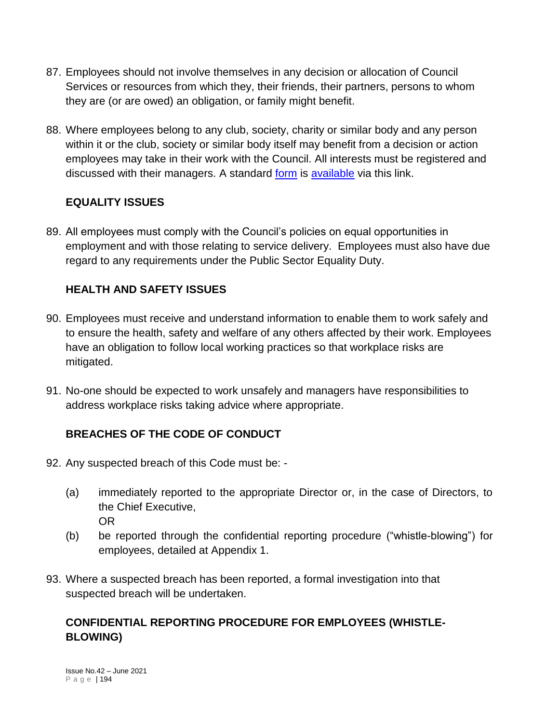- 87. Employees should not involve themselves in any decision or allocation of Council Services or resources from which they, their friends, their partners, persons to whom they are (or are owed) an obligation, or family might benefit.
- 88. Where employees belong to any club, society, charity or similar body and any person within it or the club, society or similar body itself may benefit from a decision or action employees may take in their work with the Council. All interests must be registered and discussed with their managers. A standard [form](https://staffnet.gloucestershire.gov.uk/media/218286/register_of_staff_interests-september-2017.docx) is [available](https://staffnet.gloucestershire.gov.uk/media/218286/register_of_staff_interests-september-2017.docx) via this link.

# **EQUALITY ISSUES**

89. All employees must comply with the Council's policies on equal opportunities in employment and with those relating to service delivery. Employees must also have due regard to any requirements under the Public Sector Equality Duty.

## **HEALTH AND SAFETY ISSUES**

- 90. Employees must receive and understand information to enable them to work safely and to ensure the health, safety and welfare of any others affected by their work. Employees have an obligation to follow local working practices so that workplace risks are mitigated.
- 91. No-one should be expected to work unsafely and managers have responsibilities to address workplace risks taking advice where appropriate.

# **BREACHES OF THE CODE OF CONDUCT**

- 92. Any suspected breach of this Code must be:
	- (a) immediately reported to the appropriate Director or, in the case of Directors, to the Chief Executive, OR
	- (b) be reported through the confidential reporting procedure ("whistle-blowing") for employees, detailed at Appendix 1.
- 93. Where a suspected breach has been reported, a formal investigation into that suspected breach will be undertaken.

## **CONFIDENTIAL REPORTING PROCEDURE FOR EMPLOYEES (WHISTLE-BLOWING)**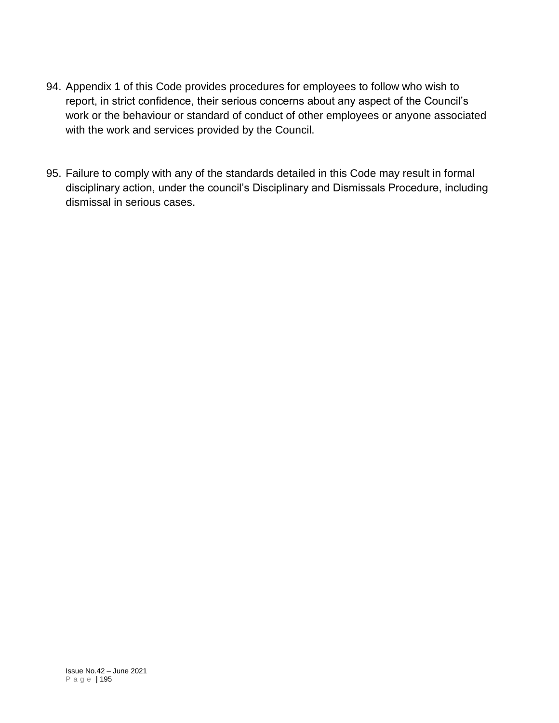- 94. Appendix 1 of this Code provides procedures for employees to follow who wish to report, in strict confidence, their serious concerns about any aspect of the Council's work or the behaviour or standard of conduct of other employees or anyone associated with the work and services provided by the Council.
- 95. Failure to comply with any of the standards detailed in this Code may result in formal disciplinary action, under the council's Disciplinary and Dismissals Procedure, including dismissal in serious cases.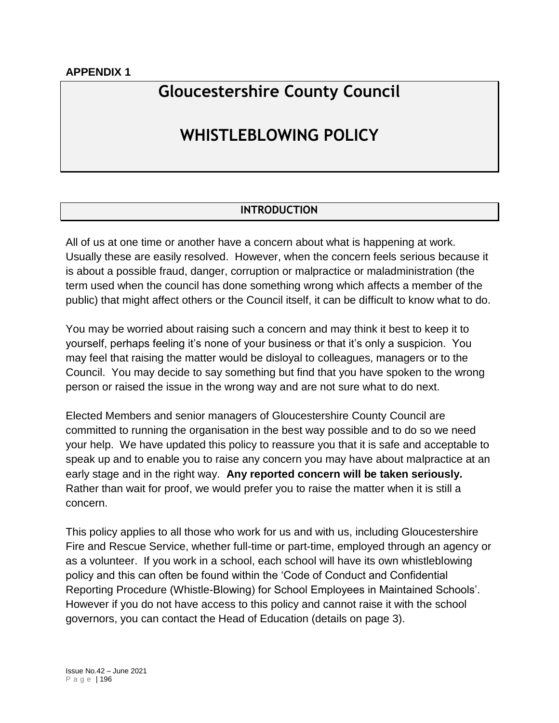### **APPENDIX 1**

# **Gloucestershire County Council**

# **WHISTLEBLOWING POLICY**

### **INTRODUCTION**

All of us at one time or another have a concern about what is happening at work. Usually these are easily resolved. However, when the concern feels serious because it is about a possible fraud, danger, corruption or malpractice or maladministration (the term used when the council has done something wrong which affects a member of the public) that might affect others or the Council itself, it can be difficult to know what to do.

You may be worried about raising such a concern and may think it best to keep it to yourself, perhaps feeling it's none of your business or that it's only a suspicion. You may feel that raising the matter would be disloyal to colleagues, managers or to the Council. You may decide to say something but find that you have spoken to the wrong person or raised the issue in the wrong way and are not sure what to do next.

Elected Members and senior managers of Gloucestershire County Council are committed to running the organisation in the best way possible and to do so we need your help. We have updated this policy to reassure you that it is safe and acceptable to speak up and to enable you to raise any concern you may have about malpractice at an early stage and in the right way. **Any reported concern will be taken seriously.** Rather than wait for proof, we would prefer you to raise the matter when it is still a concern.

This policy applies to all those who work for us and with us, including Gloucestershire Fire and Rescue Service, whether full-time or part-time, employed through an agency or as a volunteer. If you work in a school, each school will have its own whistleblowing policy and this can often be found within the 'Code of Conduct and Confidential Reporting Procedure (Whistle-Blowing) for School Employees in Maintained Schools'. However if you do not have access to this policy and cannot raise it with the school governors, you can contact the Head of Education (details on page 3).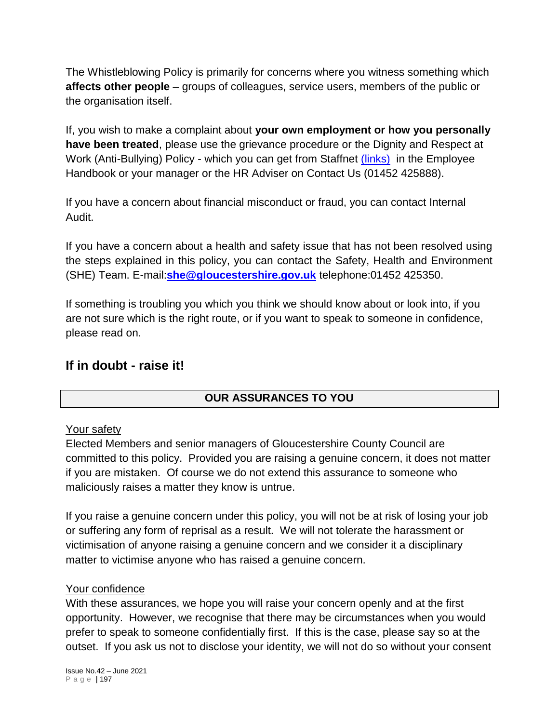The Whistleblowing Policy is primarily for concerns where you witness something which **affects other people** – groups of colleagues, service users, members of the public or the organisation itself.

If, you wish to make a complaint about **your own employment or how you personally have been treated**, please use the grievance procedure or the Dignity and Respect at Work (Anti-Bullying) Policy - which you can get from Staffnet *[\(links\)](https://staffnet.gloucestershire.gov.uk/employee-information-and-support/hr-and-employment-handbook/)* in the Employee Handbook or your manager or the HR Adviser on Contact Us (01452 425888).

If you have a concern about financial misconduct or fraud, you can contact Internal Audit.

If you have a concern about a health and safety issue that has not been resolved using the steps explained in this policy, you can contact the Safety, Health and Environment (SHE) Team. E-mail:**[she@gloucestershire.gov.uk](mailto:%20she@gloucestershire.gov.uk)** telephone:01452 425350.

If something is troubling you which you think we should know about or look into, if you are not sure which is the right route, or if you want to speak to someone in confidence, please read on.

# **If in doubt - raise it!**

# **OUR ASSURANCES TO YOU**

## Your safety

Elected Members and senior managers of Gloucestershire County Council are committed to this policy. Provided you are raising a genuine concern, it does not matter if you are mistaken. Of course we do not extend this assurance to someone who maliciously raises a matter they know is untrue.

If you raise a genuine concern under this policy, you will not be at risk of losing your job or suffering any form of reprisal as a result. We will not tolerate the harassment or victimisation of anyone raising a genuine concern and we consider it a disciplinary matter to victimise anyone who has raised a genuine concern.

### Your confidence

With these assurances, we hope you will raise your concern openly and at the first opportunity. However, we recognise that there may be circumstances when you would prefer to speak to someone confidentially first. If this is the case, please say so at the outset. If you ask us not to disclose your identity, we will not do so without your consent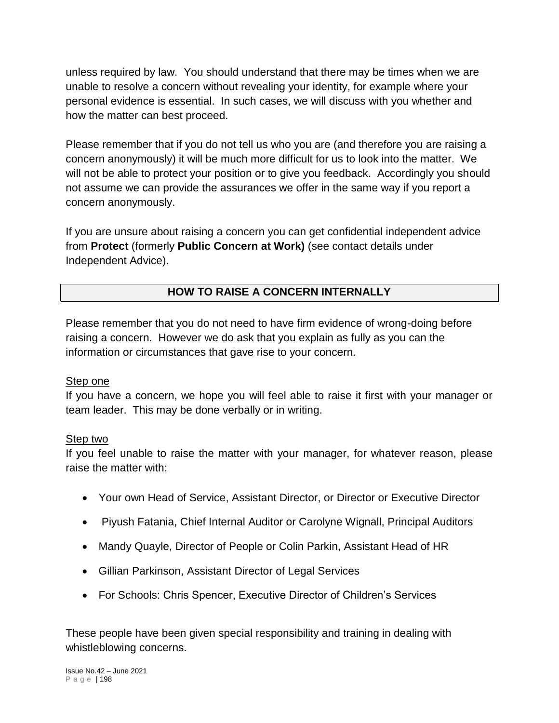unless required by law. You should understand that there may be times when we are unable to resolve a concern without revealing your identity, for example where your personal evidence is essential. In such cases, we will discuss with you whether and how the matter can best proceed.

Please remember that if you do not tell us who you are (and therefore you are raising a concern anonymously) it will be much more difficult for us to look into the matter. We will not be able to protect your position or to give you feedback. Accordingly you should not assume we can provide the assurances we offer in the same way if you report a concern anonymously.

If you are unsure about raising a concern you can get confidential independent advice from **Protect** (formerly **Public Concern at Work)** (see contact details under Independent Advice).

# **HOW TO RAISE A CONCERN INTERNALLY**

Please remember that you do not need to have firm evidence of wrong-doing before raising a concern. However we do ask that you explain as fully as you can the information or circumstances that gave rise to your concern.

### Step one

If you have a concern, we hope you will feel able to raise it first with your manager or team leader. This may be done verbally or in writing.

## Step two

If you feel unable to raise the matter with your manager, for whatever reason, please raise the matter with:

- Your own Head of Service, Assistant Director, or Director or Executive Director
- Piyush Fatania, Chief Internal Auditor or Carolyne Wignall, Principal Auditors
- Mandy Quayle, Director of People or Colin Parkin, Assistant Head of HR
- Gillian Parkinson, Assistant Director of Legal Services
- For Schools: Chris Spencer, Executive Director of Children's Services

These people have been given special responsibility and training in dealing with whistleblowing concerns.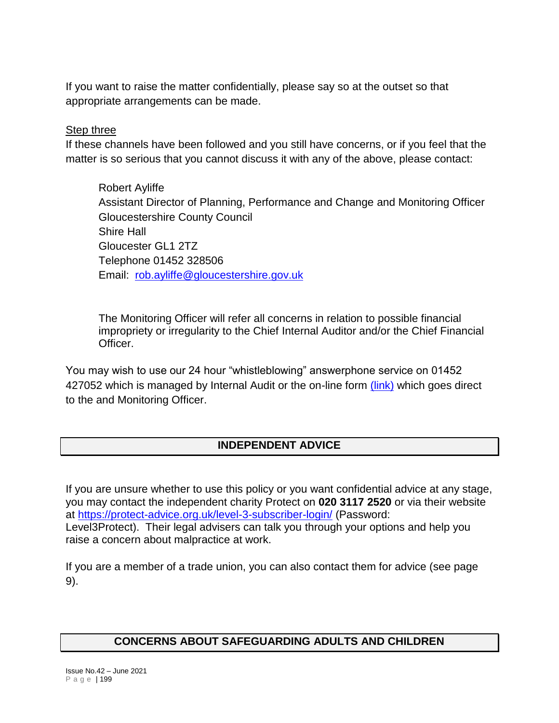If you want to raise the matter confidentially, please say so at the outset so that appropriate arrangements can be made.

### **Step three**

If these channels have been followed and you still have concerns, or if you feel that the matter is so serious that you cannot discuss it with any of the above, please contact:

Robert Ayliffe Assistant Director of Planning, Performance and Change and Monitoring Officer Gloucestershire County Council Shire Hall Gloucester GL1 2TZ Telephone 01452 328506 Email: [rob.ayliffe@gloucestershire.gov.uk](mailto:rob.ayliffe@gloucestershire.gov.uk)

The Monitoring Officer will refer all concerns in relation to possible financial impropriety or irregularity to the Chief Internal Auditor and/or the Chief Financial Officer.

You may wish to use our 24 hour "whistleblowing" answerphone service on 01452 427052 which is managed by Internal Audit or the on-line form [\(link\)](http://www.gloucestershire.gov.uk/council-and-democracy/complaints-and-feedback/whistleblowing/) which goes direct to the and Monitoring Officer.

## **INDEPENDENT ADVICE**

If you are unsure whether to use this policy or you want confidential advice at any stage, you may contact the independent charity Protect on **020 3117 2520** or via their website at<https://protect-advice.org.uk/level-3-subscriber-login/> (Password: Level3Protect). Their legal advisers can talk you through your options and help you raise a concern about malpractice at work.

If you are a member of a trade union, you can also contact them for advice (see page 9).

## **CONCERNS ABOUT SAFEGUARDING ADULTS AND CHILDREN**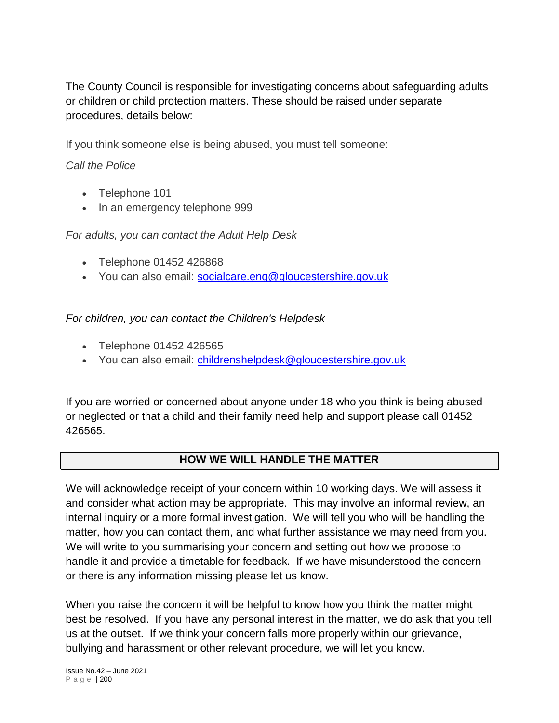The County Council is responsible for investigating concerns about safeguarding adults or children or child protection matters. These should be raised under separate procedures, details below:

If you think someone else is being abused, you must tell someone:

## *Call the Police*

- Telephone 101
- In an emergency telephone 999

## *For adults, you can contact the Adult Help Desk*

- Telephone 01452 426868
- Vou can also email: [socialcare.enq@gloucestershire.gov.uk](mailto:socialcare.enq@gloucestershire.gov.uk)

## *For children, you can contact the Children's Helpdesk*

- Telephone 01452 426565
- You can also email: [childrenshelpdesk@gloucestershire.gov.uk](mailto:childrenshelpdesk@gloucestershire.gov.uk)

If you are worried or concerned about anyone under 18 who you think is being abused or neglected or that a child and their family need help and support please call 01452 426565.

# **HOW WE WILL HANDLE THE MATTER**

We will acknowledge receipt of your concern within 10 working days. We will assess it and consider what action may be appropriate. This may involve an informal review, an internal inquiry or a more formal investigation. We will tell you who will be handling the matter, how you can contact them, and what further assistance we may need from you. We will write to you summarising your concern and setting out how we propose to handle it and provide a timetable for feedback. If we have misunderstood the concern or there is any information missing please let us know.

When you raise the concern it will be helpful to know how you think the matter might best be resolved. If you have any personal interest in the matter, we do ask that you tell us at the outset. If we think your concern falls more properly within our grievance, bullying and harassment or other relevant procedure, we will let you know.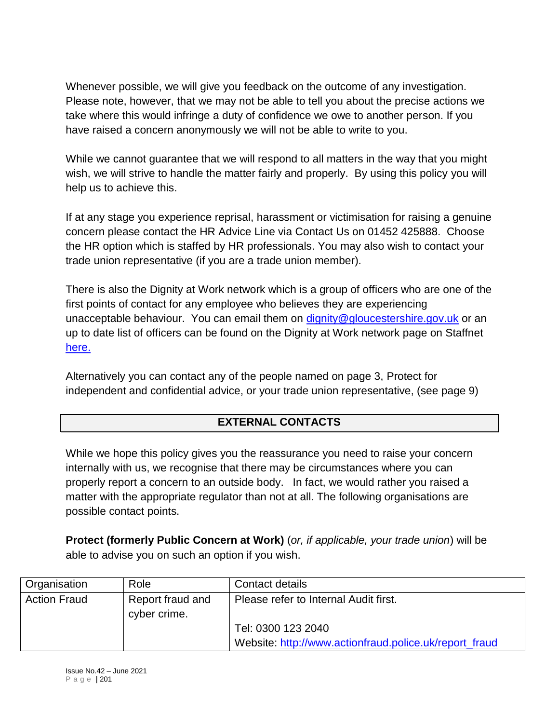Whenever possible, we will give you feedback on the outcome of any investigation. Please note, however, that we may not be able to tell you about the precise actions we take where this would infringe a duty of confidence we owe to another person. If you have raised a concern anonymously we will not be able to write to you.

While we cannot guarantee that we will respond to all matters in the way that you might wish, we will strive to handle the matter fairly and properly. By using this policy you will help us to achieve this.

If at any stage you experience reprisal, harassment or victimisation for raising a genuine concern please contact the HR Advice Line via Contact Us on 01452 425888. Choose the HR option which is staffed by HR professionals. You may also wish to contact your trade union representative (if you are a trade union member).

There is also the Dignity at Work network which is a group of officers who are one of the first points of contact for any employee who believes they are experiencing unacceptable behaviour. You can email them on [dignity@gloucestershire.gov.uk](mailto:dignity@gloucestershire.gov.uk) or an up to date list of officers can be found on the Dignity at Work network page on Staffnet [here.](https://staffnet.gloucestershire.gov.uk/internal-services/occupational-health/dignity-at-work-network/)

Alternatively you can contact any of the people named on page 3, Protect for independent and confidential advice, or your trade union representative, (see page 9)

# **EXTERNAL CONTACTS**

While we hope this policy gives you the reassurance you need to raise your concern internally with us, we recognise that there may be circumstances where you can properly report a concern to an outside body. In fact, we would rather you raised a matter with the appropriate regulator than not at all. The following organisations are possible contact points.

**Protect (formerly Public Concern at Work)** (*or, if applicable, your trade union*) will be able to advise you on such an option if you wish.

| <b>Organisation</b> | Role                             | Contact details                                        |  |
|---------------------|----------------------------------|--------------------------------------------------------|--|
| <b>Action Fraud</b> | Report fraud and<br>cyber crime. | Please refer to Internal Audit first.                  |  |
|                     |                                  | Tel: 0300 123 2040                                     |  |
|                     |                                  | Website: http://www.actionfraud.police.uk/report fraud |  |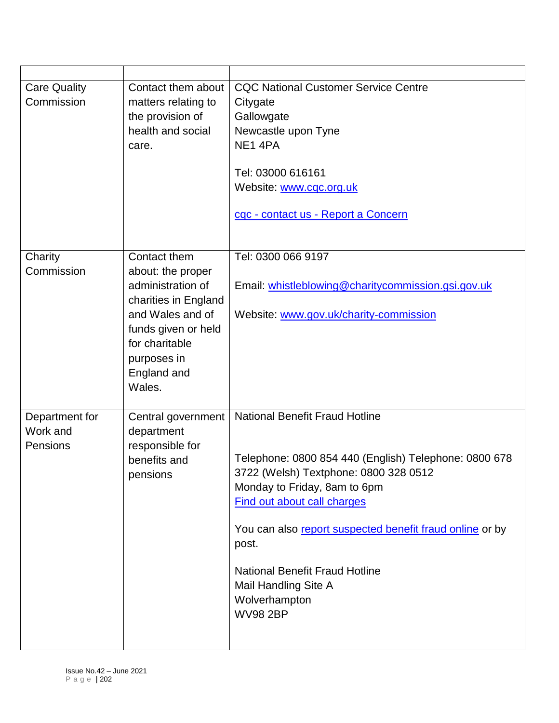| <b>Care Quality</b><br>Commission      | Contact them about<br>matters relating to<br>the provision of<br>health and social<br>care.                                                                                         | <b>CQC National Customer Service Centre</b><br>Citygate<br>Gallowgate<br>Newcastle upon Tyne<br>NE <sub>1</sub> 4PA<br>Tel: 03000 616161<br>Website: www.cqc.org.uk<br>cqc - contact us - Report a Concern                                                                                                                                                                              |
|----------------------------------------|-------------------------------------------------------------------------------------------------------------------------------------------------------------------------------------|-----------------------------------------------------------------------------------------------------------------------------------------------------------------------------------------------------------------------------------------------------------------------------------------------------------------------------------------------------------------------------------------|
| Charity<br>Commission                  | Contact them<br>about: the proper<br>administration of<br>charities in England<br>and Wales and of<br>funds given or held<br>for charitable<br>purposes in<br>England and<br>Wales. | Tel: 0300 066 9197<br>Email: whistleblowing@charitycommission.gsi.gov.uk<br>Website: www.gov.uk/charity-commission                                                                                                                                                                                                                                                                      |
| Department for<br>Work and<br>Pensions | Central government<br>department<br>responsible for<br>benefits and<br>pensions                                                                                                     | <b>National Benefit Fraud Hotline</b><br>Telephone: 0800 854 440 (English) Telephone: 0800 678<br>3722 (Welsh) Textphone: 0800 328 0512<br>Monday to Friday, 8am to 6pm<br><b>Find out about call charges</b><br>You can also report suspected benefit fraud online or by<br>post.<br><b>National Benefit Fraud Hotline</b><br>Mail Handling Site A<br>Wolverhampton<br><b>WV98 2BP</b> |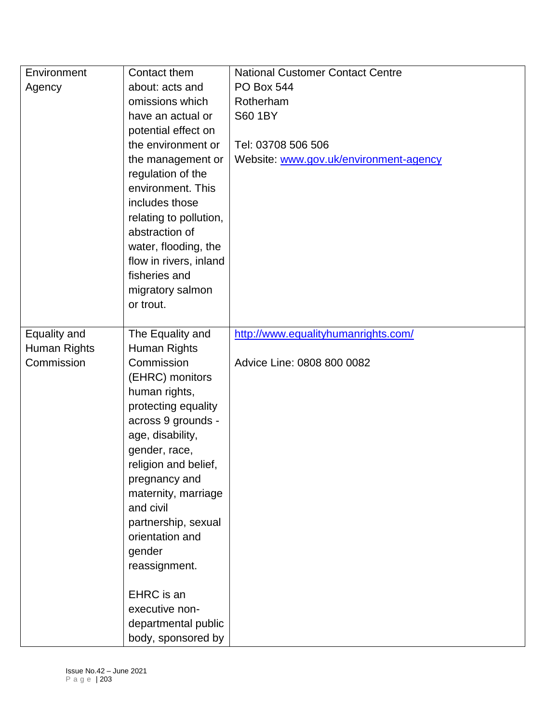| Environment  | Contact them           | <b>National Customer Contact Centre</b> |
|--------------|------------------------|-----------------------------------------|
| Agency       | about: acts and        | <b>PO Box 544</b>                       |
|              | omissions which        | Rotherham                               |
|              | have an actual or      | <b>S60 1BY</b>                          |
|              | potential effect on    |                                         |
|              | the environment or     | Tel: 03708 506 506                      |
|              | the management or      | Website: www.gov.uk/environment-agency  |
|              | regulation of the      |                                         |
|              | environment. This      |                                         |
|              | includes those         |                                         |
|              | relating to pollution, |                                         |
|              | abstraction of         |                                         |
|              | water, flooding, the   |                                         |
|              | flow in rivers, inland |                                         |
|              | fisheries and          |                                         |
|              | migratory salmon       |                                         |
|              | or trout.              |                                         |
|              |                        |                                         |
| Equality and | The Equality and       | http://www.equalityhumanrights.com/     |
| Human Rights | Human Rights           |                                         |
| Commission   | Commission             | Advice Line: 0808 800 0082              |
|              | (EHRC) monitors        |                                         |
|              | human rights,          |                                         |
|              | protecting equality    |                                         |
|              | across 9 grounds -     |                                         |
|              | age, disability,       |                                         |
|              | gender, race,          |                                         |
|              | religion and belief,   |                                         |
|              | pregnancy and          |                                         |
|              | maternity, marriage    |                                         |
|              | and civil              |                                         |
|              | partnership, sexual    |                                         |
|              | orientation and        |                                         |
|              | gender                 |                                         |
|              | reassignment.          |                                         |
|              | EHRC is an             |                                         |
|              | executive non-         |                                         |
|              |                        |                                         |
|              | departmental public    |                                         |
|              | body, sponsored by     |                                         |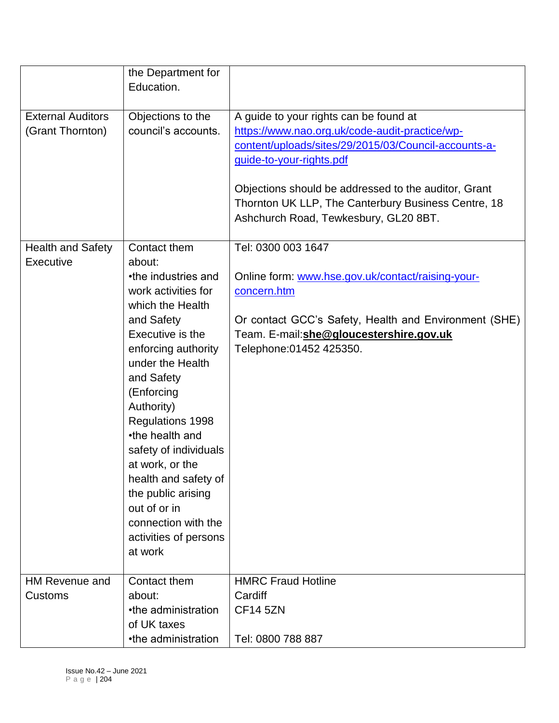|                                              | the Department for<br>Education.                                                                                                                                                                                                                                                                                                                                                                                            |                                                                                                                                                                                                                                                                                                                                      |
|----------------------------------------------|-----------------------------------------------------------------------------------------------------------------------------------------------------------------------------------------------------------------------------------------------------------------------------------------------------------------------------------------------------------------------------------------------------------------------------|--------------------------------------------------------------------------------------------------------------------------------------------------------------------------------------------------------------------------------------------------------------------------------------------------------------------------------------|
| <b>External Auditors</b><br>(Grant Thornton) | Objections to the<br>council's accounts.                                                                                                                                                                                                                                                                                                                                                                                    | A guide to your rights can be found at<br>https://www.nao.org.uk/code-audit-practice/wp-<br>content/uploads/sites/29/2015/03/Council-accounts-a-<br>guide-to-your-rights.pdf<br>Objections should be addressed to the auditor, Grant<br>Thornton UK LLP, The Canterbury Business Centre, 18<br>Ashchurch Road, Tewkesbury, GL20 8BT. |
| <b>Health and Safety</b><br>Executive        | Contact them<br>about:<br>•the industries and<br>work activities for<br>which the Health<br>and Safety<br>Executive is the<br>enforcing authority<br>under the Health<br>and Safety<br>(Enforcing<br>Authority)<br>Regulations 1998<br>•the health and<br>safety of individuals<br>at work, or the<br>health and safety of<br>the public arising<br>out of or in<br>connection with the<br>activities of persons<br>at work | Tel: 0300 003 1647<br>Online form: www.hse.gov.uk/contact/raising-your-<br>concern.htm<br>Or contact GCC's Safety, Health and Environment (SHE)<br>Team. E-mail:she@gloucestershire.gov.uk<br>Telephone: 01452 425350.                                                                                                               |
| <b>HM Revenue and</b><br>Customs             | Contact them<br>about:<br>•the administration<br>of UK taxes<br>•the administration                                                                                                                                                                                                                                                                                                                                         | <b>HMRC Fraud Hotline</b><br>Cardiff<br><b>CF14 5ZN</b><br>Tel: 0800 788 887                                                                                                                                                                                                                                                         |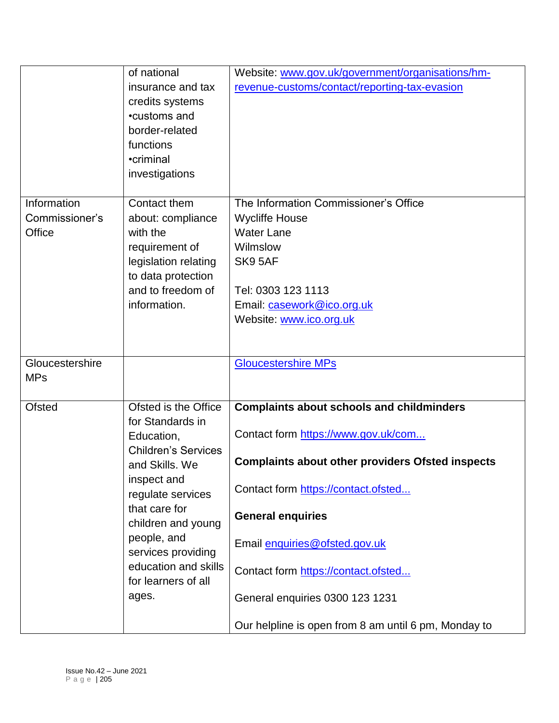|                 | of national                | Website: www.gov.uk/government/organisations/hm-        |
|-----------------|----------------------------|---------------------------------------------------------|
|                 | insurance and tax          | revenue-customs/contact/reporting-tax-evasion           |
|                 | credits systems            |                                                         |
|                 | •customs and               |                                                         |
|                 | border-related             |                                                         |
|                 | functions                  |                                                         |
|                 | •criminal                  |                                                         |
|                 | investigations             |                                                         |
|                 |                            |                                                         |
| Information     | Contact them               | The Information Commissioner's Office                   |
| Commissioner's  | about: compliance          | <b>Wycliffe House</b>                                   |
| Office          | with the                   | <b>Water Lane</b>                                       |
|                 | requirement of             | Wilmslow                                                |
|                 | legislation relating       | SK9 5AF                                                 |
|                 | to data protection         |                                                         |
|                 | and to freedom of          | Tel: 0303 123 1113                                      |
|                 | information.               | Email: casework@ico.org.uk                              |
|                 |                            | Website: www.ico.org.uk                                 |
|                 |                            |                                                         |
|                 |                            |                                                         |
| Gloucestershire |                            | <b>Gloucestershire MPs</b>                              |
| <b>MPs</b>      |                            |                                                         |
|                 |                            |                                                         |
| <b>Ofsted</b>   | Ofsted is the Office       | <b>Complaints about schools and childminders</b>        |
|                 | for Standards in           |                                                         |
|                 | Education,                 | Contact form https://www.gov.uk/com                     |
|                 | <b>Children's Services</b> |                                                         |
|                 | and Skills. We             | <b>Complaints about other providers Ofsted inspects</b> |
|                 | inspect and                | Contact form https://contact.ofsted                     |
|                 | regulate services          |                                                         |
|                 | that care for              | <b>General enquiries</b>                                |
|                 | children and young         |                                                         |
|                 | people, and                | Email enquiries@ofsted.gov.uk                           |
|                 | services providing         |                                                         |
|                 | education and skills       | Contact form https://contact.ofsted                     |
|                 | for learners of all        |                                                         |
|                 | ages.                      | General enquiries 0300 123 1231                         |
|                 |                            |                                                         |
|                 |                            | Our helpline is open from 8 am until 6 pm, Monday to    |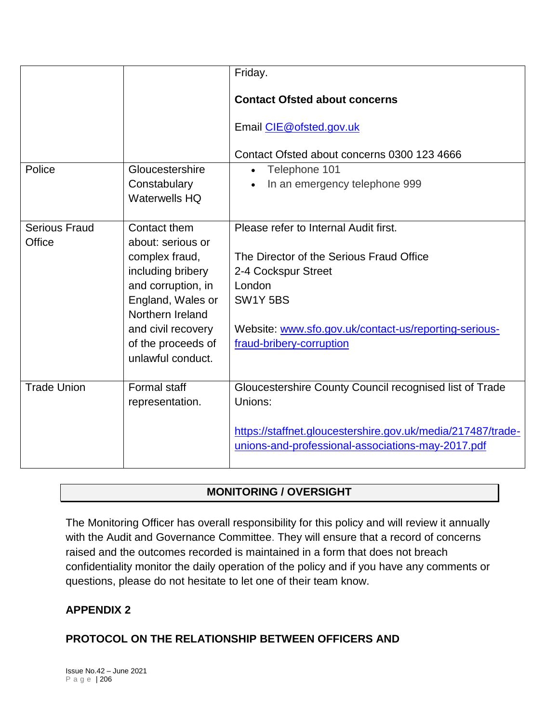|                      |                                       | Friday.                                                     |
|----------------------|---------------------------------------|-------------------------------------------------------------|
|                      |                                       | <b>Contact Ofsted about concerns</b>                        |
|                      |                                       | Email CIE@ofsted.gov.uk                                     |
|                      |                                       | Contact Ofsted about concerns 0300 123 4666                 |
| Police               | Gloucestershire                       | Telephone 101<br>$\bullet$                                  |
|                      | Constabulary<br><b>Waterwells HQ</b>  | In an emergency telephone 999                               |
| <b>Serious Fraud</b> | Contact them                          | Please refer to Internal Audit first.                       |
| Office               | about: serious or                     |                                                             |
|                      | complex fraud,                        | The Director of the Serious Fraud Office                    |
|                      | including bribery                     | 2-4 Cockspur Street                                         |
|                      | and corruption, in                    | London                                                      |
|                      | England, Wales or<br>Northern Ireland | SW1Y 5BS                                                    |
|                      | and civil recovery                    | Website: www.sfo.gov.uk/contact-us/reporting-serious-       |
|                      | of the proceeds of                    | fraud-bribery-corruption                                    |
|                      | unlawful conduct.                     |                                                             |
|                      |                                       |                                                             |
| <b>Trade Union</b>   | Formal staff                          | Gloucestershire County Council recognised list of Trade     |
|                      | representation.                       | Unions:                                                     |
|                      |                                       | https://staffnet.gloucestershire.gov.uk/media/217487/trade- |
|                      |                                       | unions-and-professional-associations-may-2017.pdf           |

# **MONITORING / OVERSIGHT**

The Monitoring Officer has overall responsibility for this policy and will review it annually with the Audit and Governance Committee. They will ensure that a record of concerns raised and the outcomes recorded is maintained in a form that does not breach confidentiality monitor the daily operation of the policy and if you have any comments or questions, please do not hesitate to let one of their team know.

## **APPENDIX 2**

## **PROTOCOL ON THE RELATIONSHIP BETWEEN OFFICERS AND**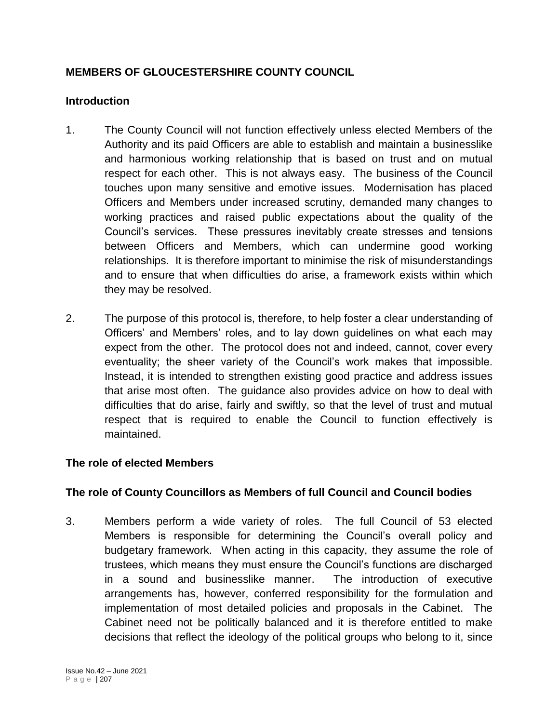# **MEMBERS OF GLOUCESTERSHIRE COUNTY COUNCIL**

## **Introduction**

- 1. The County Council will not function effectively unless elected Members of the Authority and its paid Officers are able to establish and maintain a businesslike and harmonious working relationship that is based on trust and on mutual respect for each other. This is not always easy. The business of the Council touches upon many sensitive and emotive issues. Modernisation has placed Officers and Members under increased scrutiny, demanded many changes to working practices and raised public expectations about the quality of the Council's services. These pressures inevitably create stresses and tensions between Officers and Members, which can undermine good working relationships. It is therefore important to minimise the risk of misunderstandings and to ensure that when difficulties do arise, a framework exists within which they may be resolved.
- 2. The purpose of this protocol is, therefore, to help foster a clear understanding of Officers' and Members' roles, and to lay down guidelines on what each may expect from the other. The protocol does not and indeed, cannot, cover every eventuality; the sheer variety of the Council's work makes that impossible. Instead, it is intended to strengthen existing good practice and address issues that arise most often. The guidance also provides advice on how to deal with difficulties that do arise, fairly and swiftly, so that the level of trust and mutual respect that is required to enable the Council to function effectively is maintained.

## **The role of elected Members**

### **The role of County Councillors as Members of full Council and Council bodies**

3. Members perform a wide variety of roles. The full Council of 53 elected Members is responsible for determining the Council's overall policy and budgetary framework. When acting in this capacity, they assume the role of trustees, which means they must ensure the Council's functions are discharged in a sound and businesslike manner. The introduction of executive arrangements has, however, conferred responsibility for the formulation and implementation of most detailed policies and proposals in the Cabinet. The Cabinet need not be politically balanced and it is therefore entitled to make decisions that reflect the ideology of the political groups who belong to it, since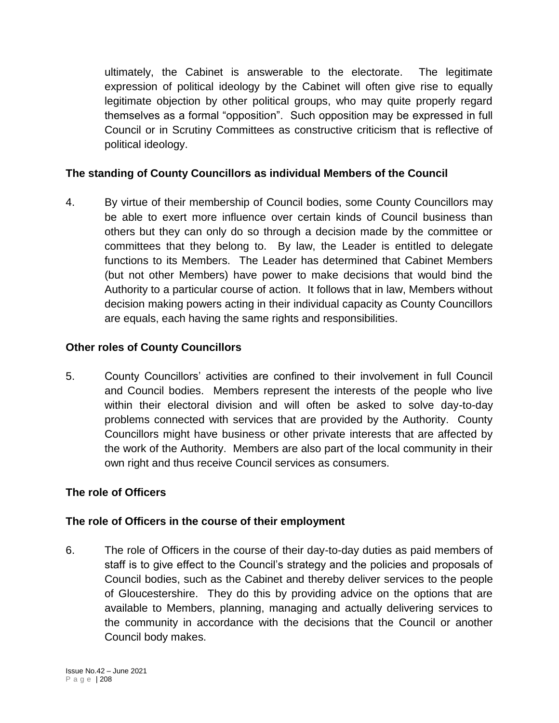ultimately, the Cabinet is answerable to the electorate. The legitimate expression of political ideology by the Cabinet will often give rise to equally legitimate objection by other political groups, who may quite properly regard themselves as a formal "opposition". Such opposition may be expressed in full Council or in Scrutiny Committees as constructive criticism that is reflective of political ideology.

## **The standing of County Councillors as individual Members of the Council**

4. By virtue of their membership of Council bodies, some County Councillors may be able to exert more influence over certain kinds of Council business than others but they can only do so through a decision made by the committee or committees that they belong to. By law, the Leader is entitled to delegate functions to its Members. The Leader has determined that Cabinet Members (but not other Members) have power to make decisions that would bind the Authority to a particular course of action. It follows that in law, Members without decision making powers acting in their individual capacity as County Councillors are equals, each having the same rights and responsibilities.

## **Other roles of County Councillors**

5. County Councillors' activities are confined to their involvement in full Council and Council bodies. Members represent the interests of the people who live within their electoral division and will often be asked to solve day-to-day problems connected with services that are provided by the Authority. County Councillors might have business or other private interests that are affected by the work of the Authority. Members are also part of the local community in their own right and thus receive Council services as consumers.

## **The role of Officers**

## **The role of Officers in the course of their employment**

6. The role of Officers in the course of their day-to-day duties as paid members of staff is to give effect to the Council's strategy and the policies and proposals of Council bodies, such as the Cabinet and thereby deliver services to the people of Gloucestershire. They do this by providing advice on the options that are available to Members, planning, managing and actually delivering services to the community in accordance with the decisions that the Council or another Council body makes.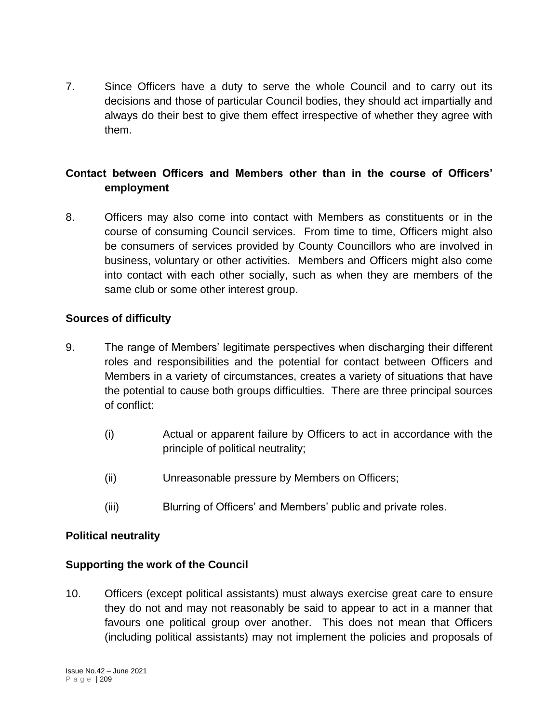7. Since Officers have a duty to serve the whole Council and to carry out its decisions and those of particular Council bodies, they should act impartially and always do their best to give them effect irrespective of whether they agree with them.

# **Contact between Officers and Members other than in the course of Officers' employment**

8. Officers may also come into contact with Members as constituents or in the course of consuming Council services. From time to time, Officers might also be consumers of services provided by County Councillors who are involved in business, voluntary or other activities. Members and Officers might also come into contact with each other socially, such as when they are members of the same club or some other interest group.

## **Sources of difficulty**

- 9. The range of Members' legitimate perspectives when discharging their different roles and responsibilities and the potential for contact between Officers and Members in a variety of circumstances, creates a variety of situations that have the potential to cause both groups difficulties. There are three principal sources of conflict:
	- (i) Actual or apparent failure by Officers to act in accordance with the principle of political neutrality;
	- (ii) Unreasonable pressure by Members on Officers;
	- (iii) Blurring of Officers' and Members' public and private roles.

### **Political neutrality**

### **Supporting the work of the Council**

10. Officers (except political assistants) must always exercise great care to ensure they do not and may not reasonably be said to appear to act in a manner that favours one political group over another. This does not mean that Officers (including political assistants) may not implement the policies and proposals of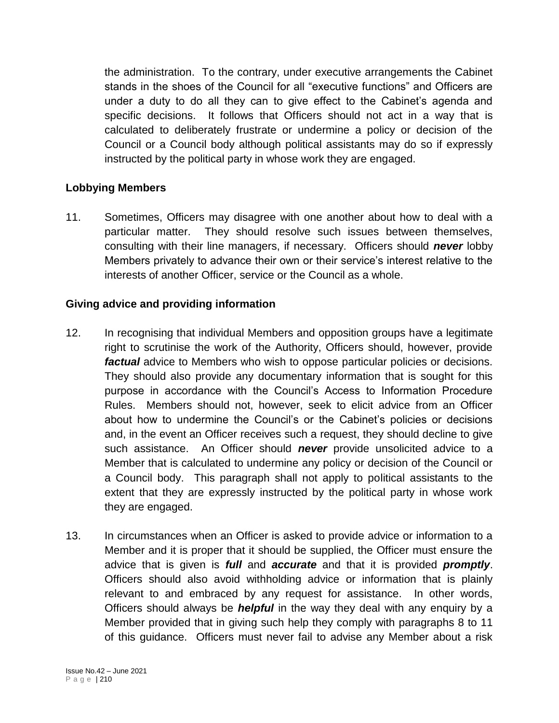the administration. To the contrary, under executive arrangements the Cabinet stands in the shoes of the Council for all "executive functions" and Officers are under a duty to do all they can to give effect to the Cabinet's agenda and specific decisions. It follows that Officers should not act in a way that is calculated to deliberately frustrate or undermine a policy or decision of the Council or a Council body although political assistants may do so if expressly instructed by the political party in whose work they are engaged.

## **Lobbying Members**

11. Sometimes, Officers may disagree with one another about how to deal with a particular matter. They should resolve such issues between themselves, consulting with their line managers, if necessary. Officers should *never* lobby Members privately to advance their own or their service's interest relative to the interests of another Officer, service or the Council as a whole.

## **Giving advice and providing information**

- 12. In recognising that individual Members and opposition groups have a legitimate right to scrutinise the work of the Authority, Officers should, however, provide *factual* advice to Members who wish to oppose particular policies or decisions. They should also provide any documentary information that is sought for this purpose in accordance with the Council's Access to Information Procedure Rules. Members should not, however, seek to elicit advice from an Officer about how to undermine the Council's or the Cabinet's policies or decisions and, in the event an Officer receives such a request, they should decline to give such assistance. An Officer should *never* provide unsolicited advice to a Member that is calculated to undermine any policy or decision of the Council or a Council body. This paragraph shall not apply to political assistants to the extent that they are expressly instructed by the political party in whose work they are engaged.
- 13. In circumstances when an Officer is asked to provide advice or information to a Member and it is proper that it should be supplied, the Officer must ensure the advice that is given is *full* and *accurate* and that it is provided *promptly*. Officers should also avoid withholding advice or information that is plainly relevant to and embraced by any request for assistance. In other words, Officers should always be *helpful* in the way they deal with any enquiry by a Member provided that in giving such help they comply with paragraphs 8 to 11 of this guidance. Officers must never fail to advise any Member about a risk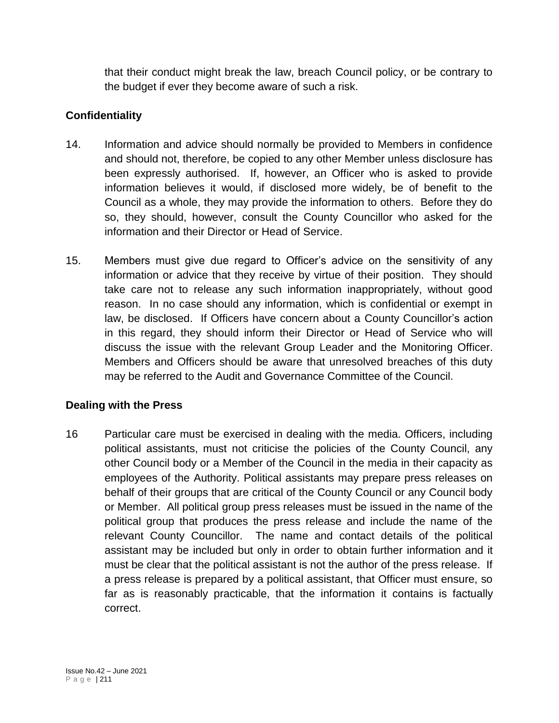that their conduct might break the law, breach Council policy, or be contrary to the budget if ever they become aware of such a risk.

# **Confidentiality**

- 14. Information and advice should normally be provided to Members in confidence and should not, therefore, be copied to any other Member unless disclosure has been expressly authorised. If, however, an Officer who is asked to provide information believes it would, if disclosed more widely, be of benefit to the Council as a whole, they may provide the information to others. Before they do so, they should, however, consult the County Councillor who asked for the information and their Director or Head of Service.
- 15. Members must give due regard to Officer's advice on the sensitivity of any information or advice that they receive by virtue of their position. They should take care not to release any such information inappropriately, without good reason. In no case should any information, which is confidential or exempt in law, be disclosed. If Officers have concern about a County Councillor's action in this regard, they should inform their Director or Head of Service who will discuss the issue with the relevant Group Leader and the Monitoring Officer. Members and Officers should be aware that unresolved breaches of this duty may be referred to the Audit and Governance Committee of the Council.

## **Dealing with the Press**

16 Particular care must be exercised in dealing with the media. Officers, including political assistants, must not criticise the policies of the County Council, any other Council body or a Member of the Council in the media in their capacity as employees of the Authority. Political assistants may prepare press releases on behalf of their groups that are critical of the County Council or any Council body or Member. All political group press releases must be issued in the name of the political group that produces the press release and include the name of the relevant County Councillor. The name and contact details of the political assistant may be included but only in order to obtain further information and it must be clear that the political assistant is not the author of the press release. If a press release is prepared by a political assistant, that Officer must ensure, so far as is reasonably practicable, that the information it contains is factually correct.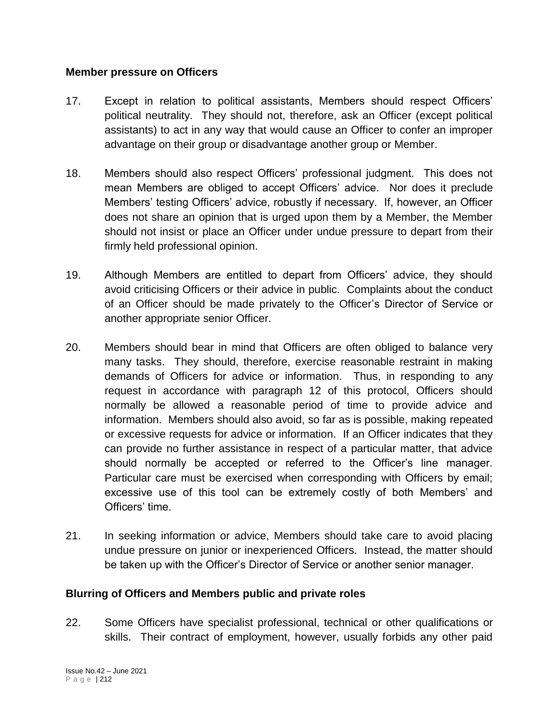#### **Member pressure on Officers**

- 17. Except in relation to political assistants, Members should respect Officers' political neutrality. They should not, therefore, ask an Officer (except political assistants) to act in any way that would cause an Officer to confer an improper advantage on their group or disadvantage another group or Member.
- 18. Members should also respect Officers' professional judgment. This does not mean Members are obliged to accept Officers' advice. Nor does it preclude Members' testing Officers' advice, robustly if necessary. If, however, an Officer does not share an opinion that is urged upon them by a Member, the Member should not insist or place an Officer under undue pressure to depart from their firmly held professional opinion.
- 19. Although Members are entitled to depart from Officers' advice, they should avoid criticising Officers or their advice in public. Complaints about the conduct of an Officer should be made privately to the Officer's Director of Service or another appropriate senior Officer.
- 20. Members should bear in mind that Officers are often obliged to balance very many tasks. They should, therefore, exercise reasonable restraint in making demands of Officers for advice or information. Thus, in responding to any request in accordance with paragraph 12 of this protocol, Officers should normally be allowed a reasonable period of time to provide advice and information. Members should also avoid, so far as is possible, making repeated or excessive requests for advice or information. If an Officer indicates that they can provide no further assistance in respect of a particular matter, that advice should normally be accepted or referred to the Officer's line manager. Particular care must be exercised when corresponding with Officers by email; excessive use of this tool can be extremely costly of both Members' and Officers' time.
- 21. In seeking information or advice, Members should take care to avoid placing undue pressure on junior or inexperienced Officers. Instead, the matter should be taken up with the Officer's Director of Service or another senior manager.

### **Blurring of Officers and Members public and private roles**

22. Some Officers have specialist professional, technical or other qualifications or skills. Their contract of employment, however, usually forbids any other paid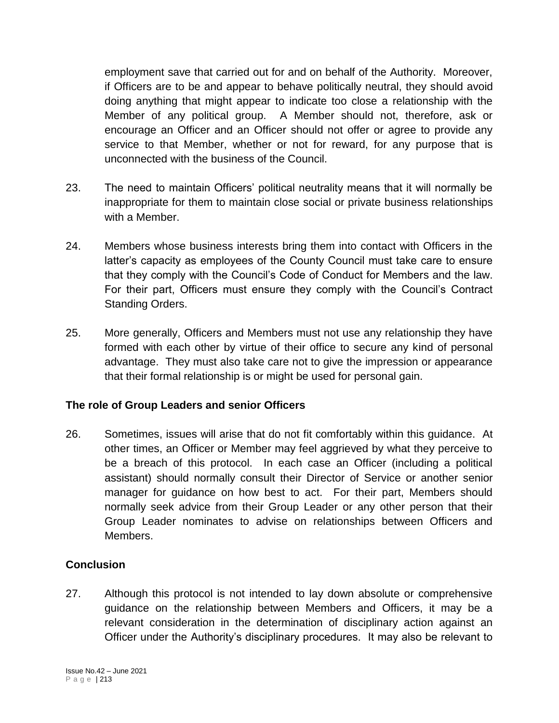employment save that carried out for and on behalf of the Authority. Moreover, if Officers are to be and appear to behave politically neutral, they should avoid doing anything that might appear to indicate too close a relationship with the Member of any political group. A Member should not, therefore, ask or encourage an Officer and an Officer should not offer or agree to provide any service to that Member, whether or not for reward, for any purpose that is unconnected with the business of the Council.

- 23. The need to maintain Officers' political neutrality means that it will normally be inappropriate for them to maintain close social or private business relationships with a Member.
- 24. Members whose business interests bring them into contact with Officers in the latter's capacity as employees of the County Council must take care to ensure that they comply with the Council's Code of Conduct for Members and the law. For their part, Officers must ensure they comply with the Council's Contract Standing Orders.
- 25. More generally, Officers and Members must not use any relationship they have formed with each other by virtue of their office to secure any kind of personal advantage. They must also take care not to give the impression or appearance that their formal relationship is or might be used for personal gain.

## **The role of Group Leaders and senior Officers**

26. Sometimes, issues will arise that do not fit comfortably within this guidance. At other times, an Officer or Member may feel aggrieved by what they perceive to be a breach of this protocol. In each case an Officer (including a political assistant) should normally consult their Director of Service or another senior manager for guidance on how best to act. For their part, Members should normally seek advice from their Group Leader or any other person that their Group Leader nominates to advise on relationships between Officers and Members.

## **Conclusion**

27. Although this protocol is not intended to lay down absolute or comprehensive guidance on the relationship between Members and Officers, it may be a relevant consideration in the determination of disciplinary action against an Officer under the Authority's disciplinary procedures. It may also be relevant to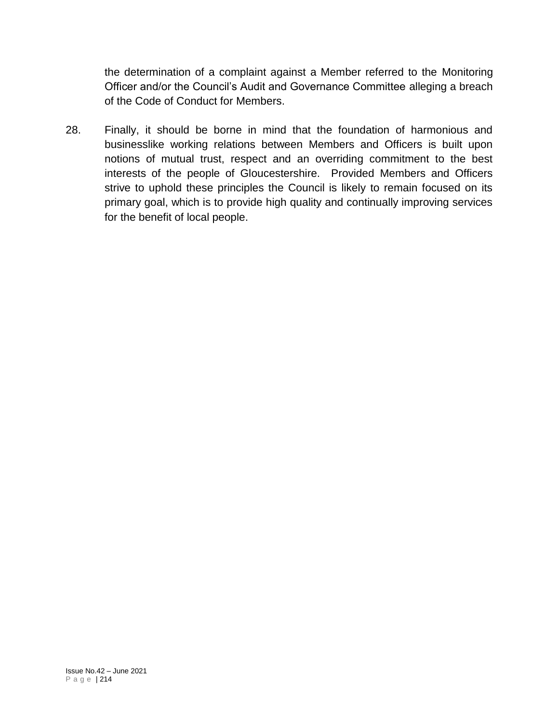the determination of a complaint against a Member referred to the Monitoring Officer and/or the Council's Audit and Governance Committee alleging a breach of the Code of Conduct for Members.

28. Finally, it should be borne in mind that the foundation of harmonious and businesslike working relations between Members and Officers is built upon notions of mutual trust, respect and an overriding commitment to the best interests of the people of Gloucestershire. Provided Members and Officers strive to uphold these principles the Council is likely to remain focused on its primary goal, which is to provide high quality and continually improving services for the benefit of local people.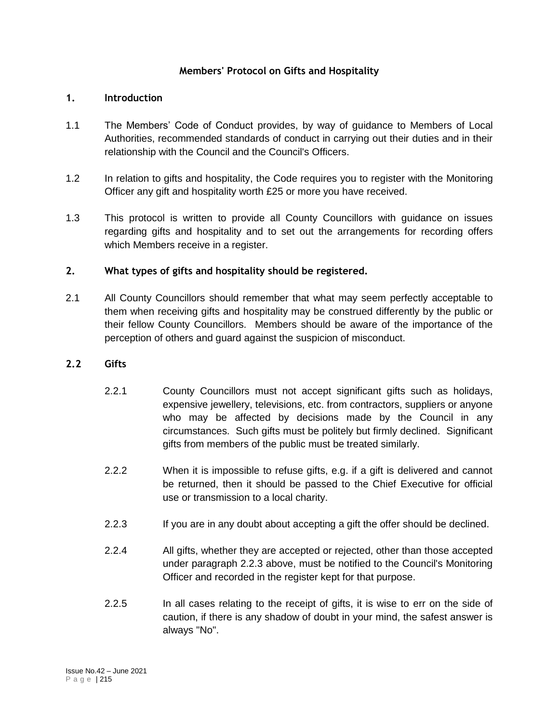#### **Members' Protocol on Gifts and Hospitality**

#### **1. Introduction**

- 1.1 The Members' Code of Conduct provides, by way of guidance to Members of Local Authorities, recommended standards of conduct in carrying out their duties and in their relationship with the Council and the Council's Officers.
- 1.2 In relation to gifts and hospitality, the Code requires you to register with the Monitoring Officer any gift and hospitality worth £25 or more you have received.
- 1.3 This protocol is written to provide all County Councillors with guidance on issues regarding gifts and hospitality and to set out the arrangements for recording offers which Members receive in a register.

#### **2. What types of gifts and hospitality should be registered.**

2.1 All County Councillors should remember that what may seem perfectly acceptable to them when receiving gifts and hospitality may be construed differently by the public or their fellow County Councillors. Members should be aware of the importance of the perception of others and guard against the suspicion of misconduct.

#### **2.2 Gifts**

- 2.2.1 County Councillors must not accept significant gifts such as holidays, expensive jewellery, televisions, etc. from contractors, suppliers or anyone who may be affected by decisions made by the Council in any circumstances. Such gifts must be politely but firmly declined. Significant gifts from members of the public must be treated similarly.
- 2.2.2 When it is impossible to refuse gifts, e.g. if a gift is delivered and cannot be returned, then it should be passed to the Chief Executive for official use or transmission to a local charity.
- 2.2.3 If you are in any doubt about accepting a gift the offer should be declined.
- 2.2.4 All gifts, whether they are accepted or rejected, other than those accepted under paragraph 2.2.3 above, must be notified to the Council's Monitoring Officer and recorded in the register kept for that purpose.
- 2.2.5 In all cases relating to the receipt of gifts, it is wise to err on the side of caution, if there is any shadow of doubt in your mind, the safest answer is always "No".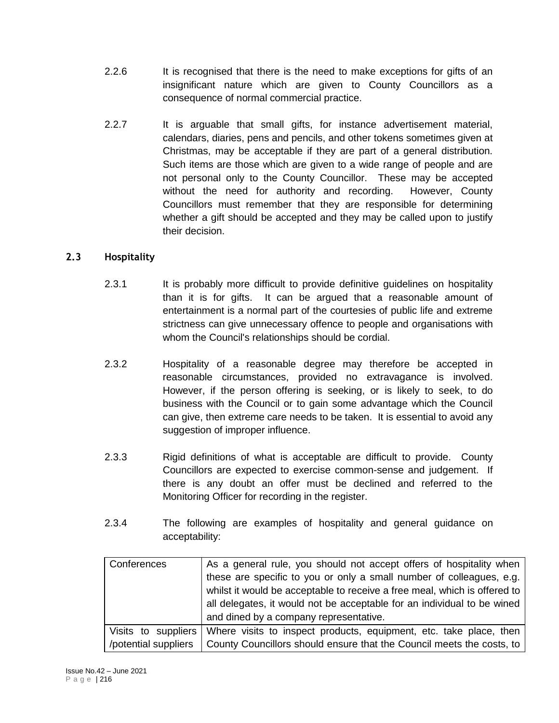- 2.2.6 It is recognised that there is the need to make exceptions for gifts of an insignificant nature which are given to County Councillors as a consequence of normal commercial practice.
- 2.2.7 It is arguable that small gifts, for instance advertisement material, calendars, diaries, pens and pencils, and other tokens sometimes given at Christmas, may be acceptable if they are part of a general distribution. Such items are those which are given to a wide range of people and are not personal only to the County Councillor. These may be accepted without the need for authority and recording. However, County Councillors must remember that they are responsible for determining whether a gift should be accepted and they may be called upon to justify their decision.

## **2.3 Hospitality**

- 2.3.1 It is probably more difficult to provide definitive quidelines on hospitality than it is for gifts. It can be argued that a reasonable amount of entertainment is a normal part of the courtesies of public life and extreme strictness can give unnecessary offence to people and organisations with whom the Council's relationships should be cordial.
- 2.3.2 Hospitality of a reasonable degree may therefore be accepted in reasonable circumstances, provided no extravagance is involved. However, if the person offering is seeking, or is likely to seek, to do business with the Council or to gain some advantage which the Council can give, then extreme care needs to be taken. It is essential to avoid any suggestion of improper influence.
- 2.3.3 Rigid definitions of what is acceptable are difficult to provide. County Councillors are expected to exercise common-sense and judgement. If there is any doubt an offer must be declined and referred to the Monitoring Officer for recording in the register.
- 2.3.4 The following are examples of hospitality and general guidance on acceptability:

| Conferences          | As a general rule, you should not accept offers of hospitality when       |  |  |
|----------------------|---------------------------------------------------------------------------|--|--|
|                      | these are specific to you or only a small number of colleagues, e.g.      |  |  |
|                      | whilst it would be acceptable to receive a free meal, which is offered to |  |  |
|                      | all delegates, it would not be acceptable for an individual to be wined   |  |  |
|                      | and dined by a company representative.                                    |  |  |
| Visits to suppliers  | Where visits to inspect products, equipment, etc. take place, then        |  |  |
| /potential suppliers | County Councillors should ensure that the Council meets the costs, to     |  |  |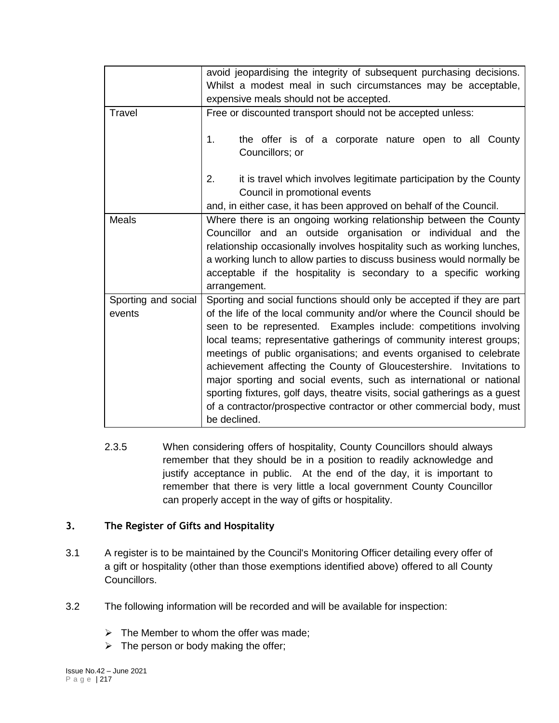|                               | avoid jeopardising the integrity of subsequent purchasing decisions.<br>Whilst a modest meal in such circumstances may be acceptable,<br>expensive meals should not be accepted.                                                                                                                                                                                                                                                                                                                                                                                                                                                                                                        |  |  |
|-------------------------------|-----------------------------------------------------------------------------------------------------------------------------------------------------------------------------------------------------------------------------------------------------------------------------------------------------------------------------------------------------------------------------------------------------------------------------------------------------------------------------------------------------------------------------------------------------------------------------------------------------------------------------------------------------------------------------------------|--|--|
| Travel                        | Free or discounted transport should not be accepted unless:                                                                                                                                                                                                                                                                                                                                                                                                                                                                                                                                                                                                                             |  |  |
|                               | the offer is of a corporate nature open to all County<br>1.<br>Councillors; or                                                                                                                                                                                                                                                                                                                                                                                                                                                                                                                                                                                                          |  |  |
|                               | it is travel which involves legitimate participation by the County<br>2.<br>Council in promotional events                                                                                                                                                                                                                                                                                                                                                                                                                                                                                                                                                                               |  |  |
| <b>Meals</b>                  | and, in either case, it has been approved on behalf of the Council.                                                                                                                                                                                                                                                                                                                                                                                                                                                                                                                                                                                                                     |  |  |
|                               | Where there is an ongoing working relationship between the County<br>Councillor and an outside organisation or individual and the<br>relationship occasionally involves hospitality such as working lunches,<br>a working lunch to allow parties to discuss business would normally be<br>acceptable if the hospitality is secondary to a specific working<br>arrangement.                                                                                                                                                                                                                                                                                                              |  |  |
| Sporting and social<br>events | Sporting and social functions should only be accepted if they are part<br>of the life of the local community and/or where the Council should be<br>seen to be represented. Examples include: competitions involving<br>local teams; representative gatherings of community interest groups;<br>meetings of public organisations; and events organised to celebrate<br>achievement affecting the County of Gloucestershire. Invitations to<br>major sporting and social events, such as international or national<br>sporting fixtures, golf days, theatre visits, social gatherings as a guest<br>of a contractor/prospective contractor or other commercial body, must<br>be declined. |  |  |

2.3.5 When considering offers of hospitality, County Councillors should always remember that they should be in a position to readily acknowledge and justify acceptance in public. At the end of the day, it is important to remember that there is very little a local government County Councillor can properly accept in the way of gifts or hospitality.

#### **3. The Register of Gifts and Hospitality**

- 3.1 A register is to be maintained by the Council's Monitoring Officer detailing every offer of a gift or hospitality (other than those exemptions identified above) offered to all County Councillors.
- 3.2 The following information will be recorded and will be available for inspection:
	- $\triangleright$  The Member to whom the offer was made;
	- $\triangleright$  The person or body making the offer;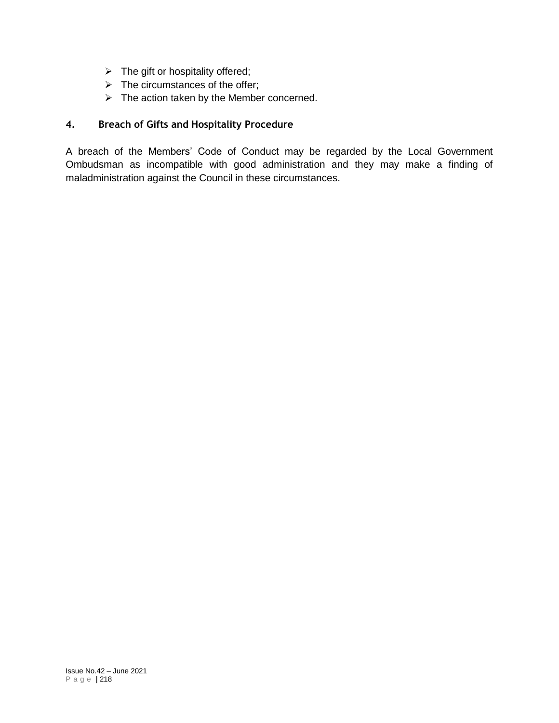- $\triangleright$  The gift or hospitality offered;
- $\triangleright$  The circumstances of the offer;
- $\triangleright$  The action taken by the Member concerned.

### **4. Breach of Gifts and Hospitality Procedure**

A breach of the Members' Code of Conduct may be regarded by the Local Government Ombudsman as incompatible with good administration and they may make a finding of maladministration against the Council in these circumstances.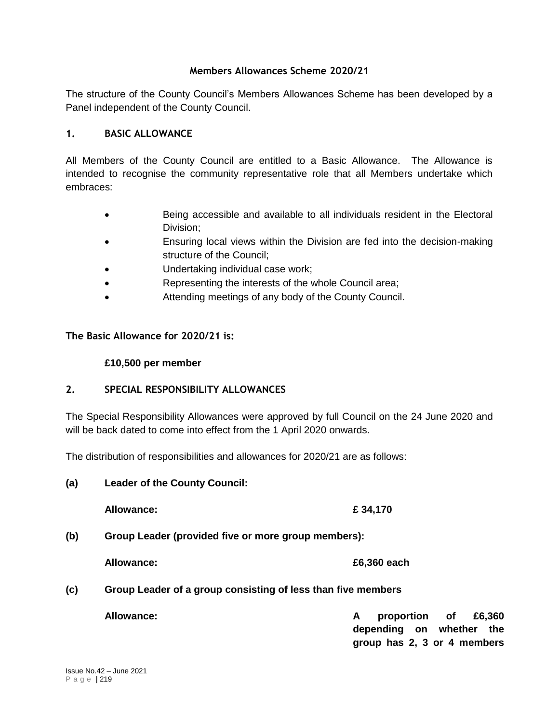#### **Members Allowances Scheme 2020/21**

The structure of the County Council's Members Allowances Scheme has been developed by a Panel independent of the County Council.

#### **1. BASIC ALLOWANCE**

All Members of the County Council are entitled to a Basic Allowance. The Allowance is intended to recognise the community representative role that all Members undertake which embraces:

- Being accessible and available to all individuals resident in the Electoral Division;
- Ensuring local views within the Division are fed into the decision-making structure of the Council;
- Undertaking individual case work;
- Representing the interests of the whole Council area;
- Attending meetings of any body of the County Council.

#### **The Basic Allowance for 2020/21 is:**

#### **£10,500 per member**

### **2. SPECIAL RESPONSIBILITY ALLOWANCES**

The Special Responsibility Allowances were approved by full Council on the 24 June 2020 and will be back dated to come into effect from the 1 April 2020 onwards.

The distribution of responsibilities and allowances for 2020/21 are as follows:

**(a) Leader of the County Council:**

**Allowance: £ 34,170**

**(b) Group Leader (provided five or more group members):**

**Allowance: £6,360 each**

### **(c) Group Leader of a group consisting of less than five members**

**Allowance: A proportion of £6,360 depending on whether the group has 2, 3 or 4 members**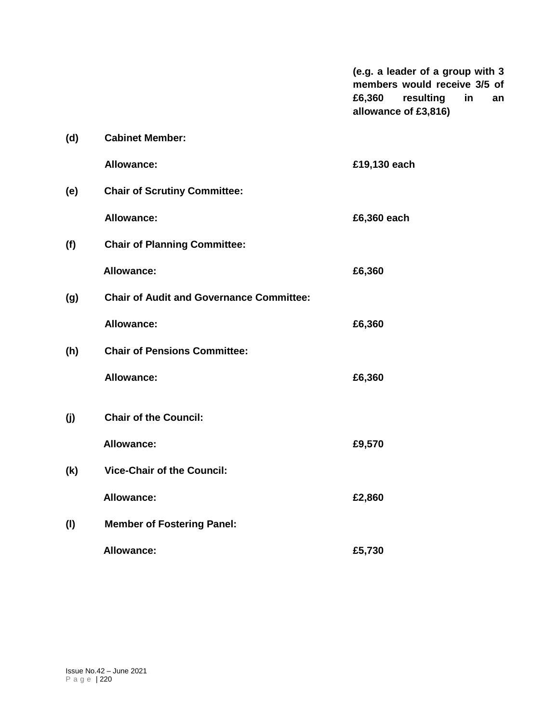**(e.g. a leader of a group with 3 members would receive 3/5 of £6,360 resulting in an allowance of £3,816)**

| (d) | <b>Cabinet Member:</b>                          |              |
|-----|-------------------------------------------------|--------------|
|     | <b>Allowance:</b>                               | £19,130 each |
| (e) | <b>Chair of Scrutiny Committee:</b>             |              |
|     | <b>Allowance:</b>                               | £6,360 each  |
| (f) | <b>Chair of Planning Committee:</b>             |              |
|     | <b>Allowance:</b>                               | £6,360       |
| (g) | <b>Chair of Audit and Governance Committee:</b> |              |
|     | <b>Allowance:</b>                               | £6,360       |
| (h) | <b>Chair of Pensions Committee:</b>             |              |
|     | <b>Allowance:</b>                               | £6,360       |
| (i) | <b>Chair of the Council:</b>                    |              |
|     | <b>Allowance:</b>                               | £9,570       |
| (k) | <b>Vice-Chair of the Council:</b>               |              |
|     | <b>Allowance:</b>                               | £2,860       |
| (1) | <b>Member of Fostering Panel:</b>               |              |
|     | <b>Allowance:</b>                               | £5,730       |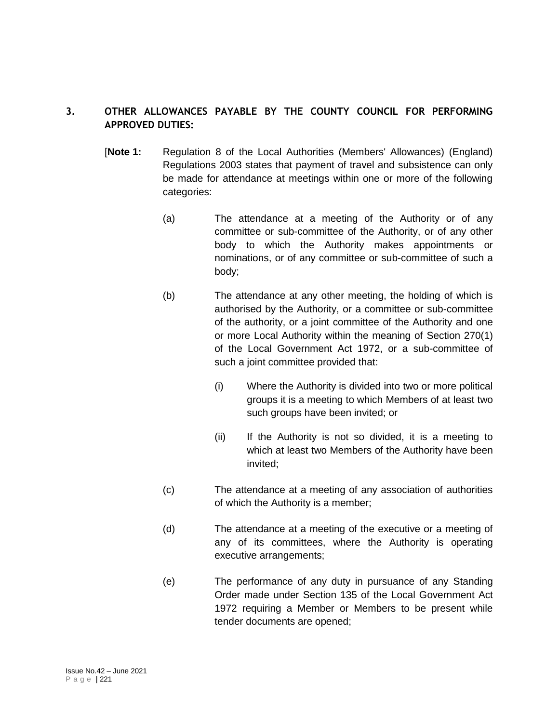### **3. OTHER ALLOWANCES PAYABLE BY THE COUNTY COUNCIL FOR PERFORMING APPROVED DUTIES:**

- [**Note 1:** Regulation 8 of the Local Authorities (Members' Allowances) (England) Regulations 2003 states that payment of travel and subsistence can only be made for attendance at meetings within one or more of the following categories:
	- (a) The attendance at a meeting of the Authority or of any committee or sub-committee of the Authority, or of any other body to which the Authority makes appointments or nominations, or of any committee or sub-committee of such a body;
	- (b) The attendance at any other meeting, the holding of which is authorised by the Authority, or a committee or sub-committee of the authority, or a joint committee of the Authority and one or more Local Authority within the meaning of Section 270(1) of the Local Government Act 1972, or a sub-committee of such a joint committee provided that:
		- (i) Where the Authority is divided into two or more political groups it is a meeting to which Members of at least two such groups have been invited; or
		- (ii) If the Authority is not so divided, it is a meeting to which at least two Members of the Authority have been invited;
	- (c) The attendance at a meeting of any association of authorities of which the Authority is a member;
	- (d) The attendance at a meeting of the executive or a meeting of any of its committees, where the Authority is operating executive arrangements;
	- (e) The performance of any duty in pursuance of any Standing Order made under Section 135 of the Local Government Act 1972 requiring a Member or Members to be present while tender documents are opened;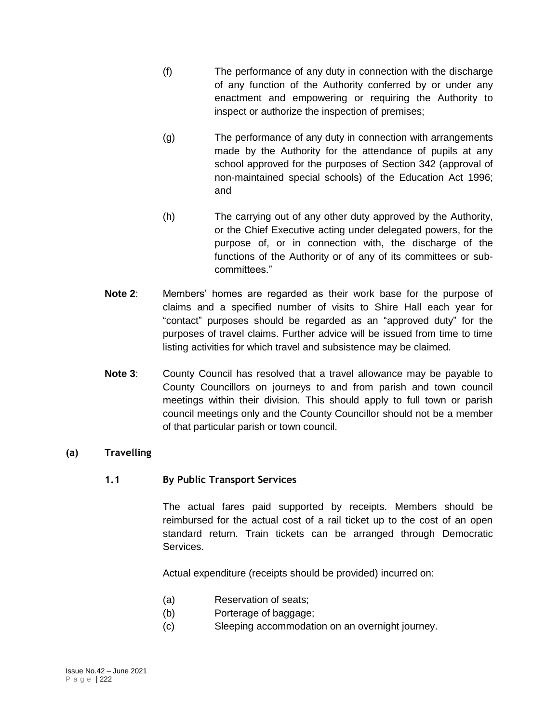- (f) The performance of any duty in connection with the discharge of any function of the Authority conferred by or under any enactment and empowering or requiring the Authority to inspect or authorize the inspection of premises;
- (g) The performance of any duty in connection with arrangements made by the Authority for the attendance of pupils at any school approved for the purposes of Section 342 (approval of non-maintained special schools) of the Education Act 1996; and
- (h) The carrying out of any other duty approved by the Authority, or the Chief Executive acting under delegated powers, for the purpose of, or in connection with, the discharge of the functions of the Authority or of any of its committees or subcommittees."
- **Note 2**: Members' homes are regarded as their work base for the purpose of claims and a specified number of visits to Shire Hall each year for "contact" purposes should be regarded as an "approved duty" for the purposes of travel claims. Further advice will be issued from time to time listing activities for which travel and subsistence may be claimed.
- **Note 3**: County Council has resolved that a travel allowance may be payable to County Councillors on journeys to and from parish and town council meetings within their division. This should apply to full town or parish council meetings only and the County Councillor should not be a member of that particular parish or town council.

### **(a) Travelling**

### **1.1 By Public Transport Services**

The actual fares paid supported by receipts. Members should be reimbursed for the actual cost of a rail ticket up to the cost of an open standard return. Train tickets can be arranged through Democratic Services.

Actual expenditure (receipts should be provided) incurred on:

- (a) Reservation of seats;
- (b) Porterage of baggage;
- (c) Sleeping accommodation on an overnight journey.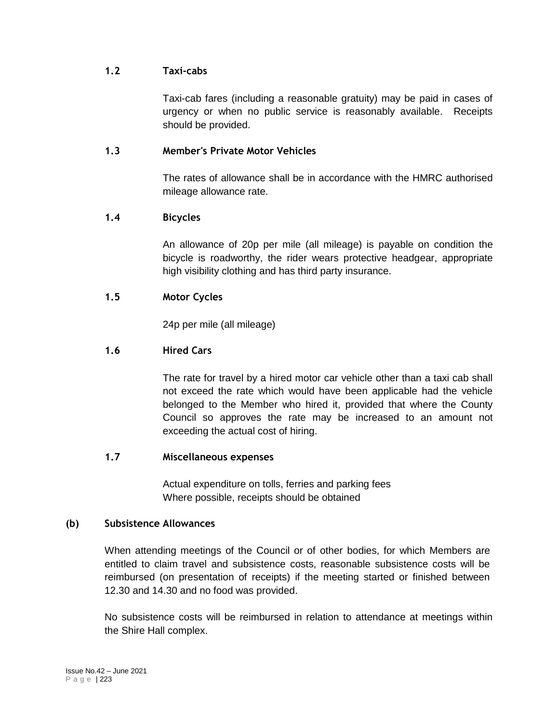#### **1.2 Taxi-cabs**

Taxi-cab fares (including a reasonable gratuity) may be paid in cases of urgency or when no public service is reasonably available. Receipts should be provided.

#### **1.3 Member's Private Motor Vehicles**

The rates of allowance shall be in accordance with the HMRC authorised mileage allowance rate.

#### **1.4 Bicycles**

An allowance of 20p per mile (all mileage) is payable on condition the bicycle is roadworthy, the rider wears protective headgear, appropriate high visibility clothing and has third party insurance.

### **1.5 Motor Cycles**

24p per mile (all mileage)

#### **1.6 Hired Cars**

The rate for travel by a hired motor car vehicle other than a taxi cab shall not exceed the rate which would have been applicable had the vehicle belonged to the Member who hired it, provided that where the County Council so approves the rate may be increased to an amount not exceeding the actual cost of hiring.

#### **1.7 Miscellaneous expenses**

Actual expenditure on tolls, ferries and parking fees Where possible, receipts should be obtained

#### **(b) Subsistence Allowances**

When attending meetings of the Council or of other bodies, for which Members are entitled to claim travel and subsistence costs, reasonable subsistence costs will be reimbursed (on presentation of receipts) if the meeting started or finished between 12.30 and 14.30 and no food was provided.

No subsistence costs will be reimbursed in relation to attendance at meetings within the Shire Hall complex.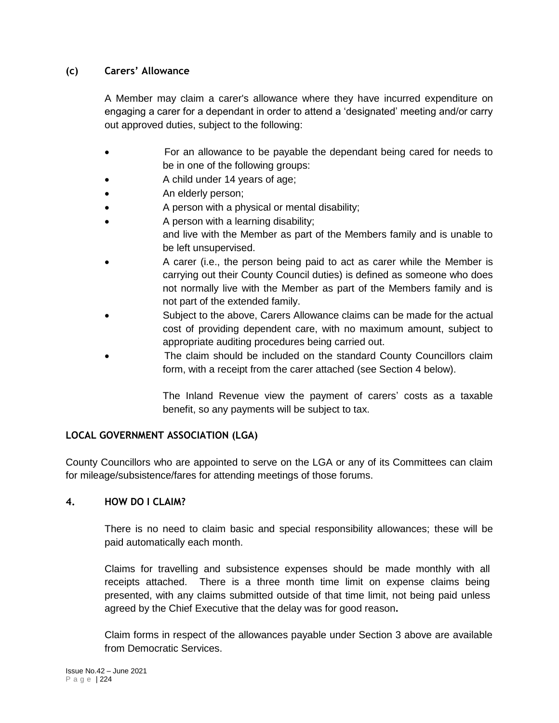### **(c) Carers' Allowance**

A Member may claim a carer's allowance where they have incurred expenditure on engaging a carer for a dependant in order to attend a 'designated' meeting and/or carry out approved duties, subject to the following:

- For an allowance to be payable the dependant being cared for needs to be in one of the following groups:
- A child under 14 years of age;
- An elderly person;
- A person with a physical or mental disability;
- A person with a learning disability;
- and live with the Member as part of the Members family and is unable to be left unsupervised.
- A carer (i.e., the person being paid to act as carer while the Member is carrying out their County Council duties) is defined as someone who does not normally live with the Member as part of the Members family and is not part of the extended family.
- Subject to the above, Carers Allowance claims can be made for the actual cost of providing dependent care, with no maximum amount, subject to appropriate auditing procedures being carried out.
- The claim should be included on the standard County Councillors claim form, with a receipt from the carer attached (see Section 4 below).

The Inland Revenue view the payment of carers' costs as a taxable benefit, so any payments will be subject to tax.

### **LOCAL GOVERNMENT ASSOCIATION (LGA)**

County Councillors who are appointed to serve on the LGA or any of its Committees can claim for mileage/subsistence/fares for attending meetings of those forums.

### **4. HOW DO I CLAIM?**

There is no need to claim basic and special responsibility allowances; these will be paid automatically each month.

Claims for travelling and subsistence expenses should be made monthly with all receipts attached. There is a three month time limit on expense claims being presented, with any claims submitted outside of that time limit, not being paid unless agreed by the Chief Executive that the delay was for good reason**.**

Claim forms in respect of the allowances payable under Section 3 above are available from Democratic Services.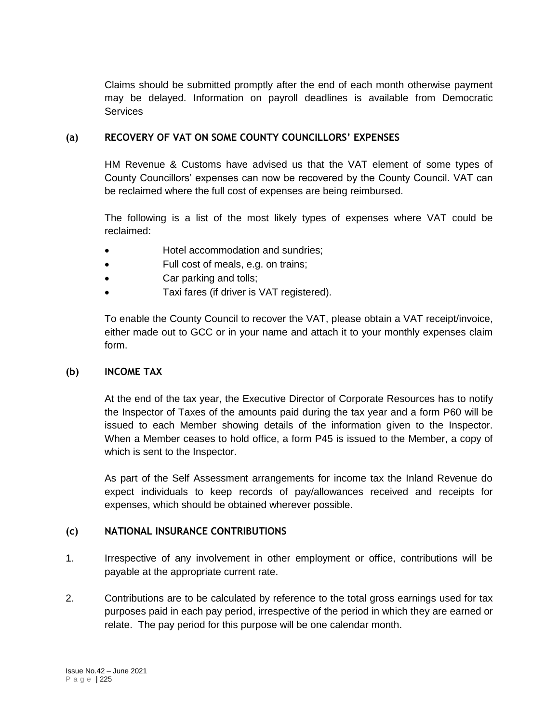Claims should be submitted promptly after the end of each month otherwise payment may be delayed. Information on payroll deadlines is available from Democratic **Services** 

#### **(a) RECOVERY OF VAT ON SOME COUNTY COUNCILLORS' EXPENSES**

HM Revenue & Customs have advised us that the VAT element of some types of County Councillors' expenses can now be recovered by the County Council. VAT can be reclaimed where the full cost of expenses are being reimbursed.

The following is a list of the most likely types of expenses where VAT could be reclaimed:

- Hotel accommodation and sundries;
- Full cost of meals, e.g. on trains;
- Car parking and tolls;
- Taxi fares (if driver is VAT registered).

To enable the County Council to recover the VAT, please obtain a VAT receipt/invoice, either made out to GCC or in your name and attach it to your monthly expenses claim form.

#### **(b) INCOME TAX**

At the end of the tax year, the Executive Director of Corporate Resources has to notify the Inspector of Taxes of the amounts paid during the tax year and a form P60 will be issued to each Member showing details of the information given to the Inspector. When a Member ceases to hold office, a form P45 is issued to the Member, a copy of which is sent to the Inspector.

As part of the Self Assessment arrangements for income tax the Inland Revenue do expect individuals to keep records of pay/allowances received and receipts for expenses, which should be obtained wherever possible.

### **(c) NATIONAL INSURANCE CONTRIBUTIONS**

- 1. Irrespective of any involvement in other employment or office, contributions will be payable at the appropriate current rate.
- 2. Contributions are to be calculated by reference to the total gross earnings used for tax purposes paid in each pay period, irrespective of the period in which they are earned or relate. The pay period for this purpose will be one calendar month.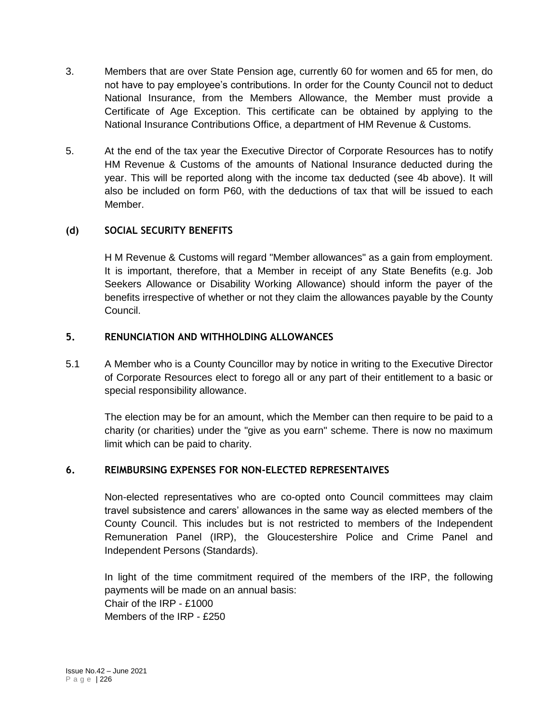- 3. Members that are over State Pension age, currently 60 for women and 65 for men, do not have to pay employee's contributions. In order for the County Council not to deduct National Insurance, from the Members Allowance, the Member must provide a Certificate of Age Exception. This certificate can be obtained by applying to the National Insurance Contributions Office, a department of HM Revenue & Customs.
- 5. At the end of the tax year the Executive Director of Corporate Resources has to notify HM Revenue & Customs of the amounts of National Insurance deducted during the year. This will be reported along with the income tax deducted (see 4b above). It will also be included on form P60, with the deductions of tax that will be issued to each Member.

#### **(d) SOCIAL SECURITY BENEFITS**

H M Revenue & Customs will regard "Member allowances" as a gain from employment. It is important, therefore, that a Member in receipt of any State Benefits (e.g. Job Seekers Allowance or Disability Working Allowance) should inform the payer of the benefits irrespective of whether or not they claim the allowances payable by the County Council.

#### **5. RENUNCIATION AND WITHHOLDING ALLOWANCES**

5.1 A Member who is a County Councillor may by notice in writing to the Executive Director of Corporate Resources elect to forego all or any part of their entitlement to a basic or special responsibility allowance.

The election may be for an amount, which the Member can then require to be paid to a charity (or charities) under the "give as you earn" scheme. There is now no maximum limit which can be paid to charity.

### **6. REIMBURSING EXPENSES FOR NON-ELECTED REPRESENTAIVES**

Non-elected representatives who are co-opted onto Council committees may claim travel subsistence and carers' allowances in the same way as elected members of the County Council. This includes but is not restricted to members of the Independent Remuneration Panel (IRP), the Gloucestershire Police and Crime Panel and Independent Persons (Standards).

In light of the time commitment required of the members of the IRP, the following payments will be made on an annual basis: Chair of the IRP - £1000 Members of the IRP - £250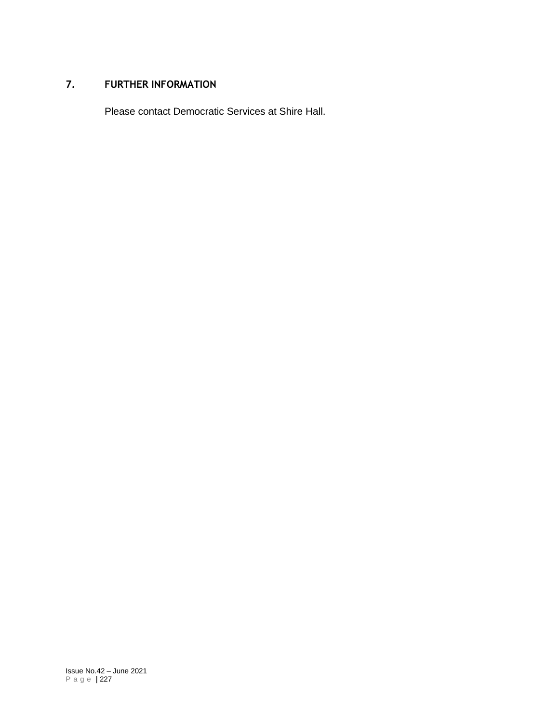#### **7. FURTHER INFORMATION**

Please contact Democratic Services at Shire Hall.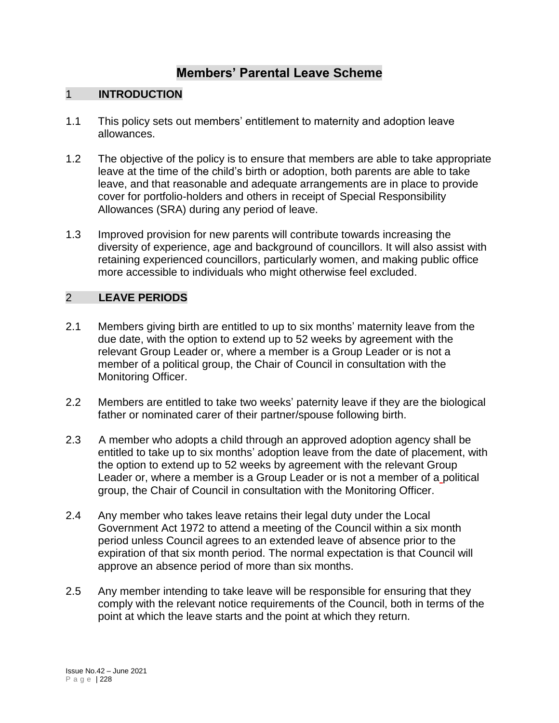# **Members' Parental Leave Scheme**

### 1 **INTRODUCTION**

- 1.1 This policy sets out members' entitlement to maternity and adoption leave allowances.
- 1.2 The objective of the policy is to ensure that members are able to take appropriate leave at the time of the child's birth or adoption, both parents are able to take leave, and that reasonable and adequate arrangements are in place to provide cover for portfolio-holders and others in receipt of Special Responsibility Allowances (SRA) during any period of leave.
- 1.3 Improved provision for new parents will contribute towards increasing the diversity of experience, age and background of councillors. It will also assist with retaining experienced councillors, particularly women, and making public office more accessible to individuals who might otherwise feel excluded.

## 2 **LEAVE PERIODS**

- 2.1 Members giving birth are entitled to up to six months' maternity leave from the due date, with the option to extend up to 52 weeks by agreement with the relevant Group Leader or, where a member is a Group Leader or is not a member of a political group, the Chair of Council in consultation with the Monitoring Officer.
- 2.2 Members are entitled to take two weeks' paternity leave if they are the biological father or nominated carer of their partner/spouse following birth.
- 2.3 A member who adopts a child through an approved adoption agency shall be entitled to take up to six months' adoption leave from the date of placement, with the option to extend up to 52 weeks by agreement with the relevant Group Leader or, where a member is a Group Leader or is not a member of a political group, the Chair of Council in consultation with the Monitoring Officer.
- 2.4 Any member who takes leave retains their legal duty under the Local Government Act 1972 to attend a meeting of the Council within a six month period unless Council agrees to an extended leave of absence prior to the expiration of that six month period. The normal expectation is that Council will approve an absence period of more than six months.
- 2.5 Any member intending to take leave will be responsible for ensuring that they comply with the relevant notice requirements of the Council, both in terms of the point at which the leave starts and the point at which they return.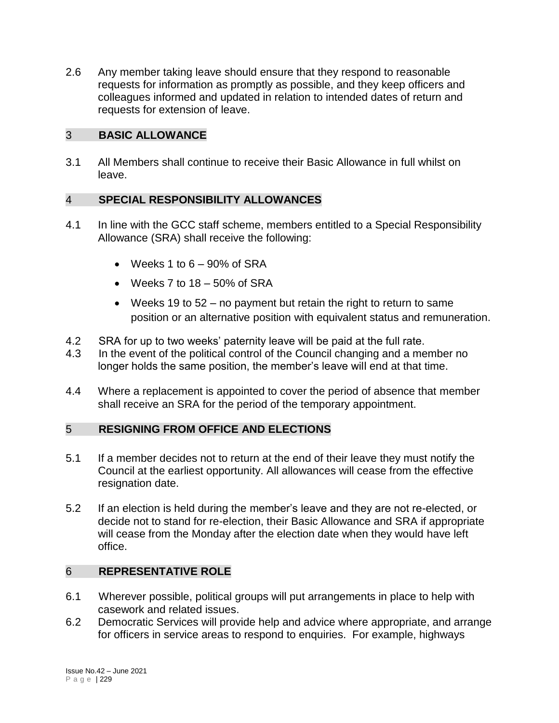2.6 Any member taking leave should ensure that they respond to reasonable requests for information as promptly as possible, and they keep officers and colleagues informed and updated in relation to intended dates of return and requests for extension of leave.

## 3 **BASIC ALLOWANCE**

3.1 All Members shall continue to receive their Basic Allowance in full whilst on leave.

## 4 **SPECIAL RESPONSIBILITY ALLOWANCES**

- 4.1 In line with the GCC staff scheme, members entitled to a Special Responsibility Allowance (SRA) shall receive the following:
	- $\bullet$  Weeks 1 to  $6 90\%$  of SRA
	- $\bullet$  Weeks 7 to 18 50% of SRA
	- Weeks 19 to 52 no payment but retain the right to return to same position or an alternative position with equivalent status and remuneration.
- 4.2 SRA for up to two weeks' paternity leave will be paid at the full rate.
- 4.3 In the event of the political control of the Council changing and a member no longer holds the same position, the member's leave will end at that time.
- 4.4 Where a replacement is appointed to cover the period of absence that member shall receive an SRA for the period of the temporary appointment.

### 5 **RESIGNING FROM OFFICE AND ELECTIONS**

- 5.1 If a member decides not to return at the end of their leave they must notify the Council at the earliest opportunity. All allowances will cease from the effective resignation date.
- 5.2 If an election is held during the member's leave and they are not re-elected, or decide not to stand for re-election, their Basic Allowance and SRA if appropriate will cease from the Monday after the election date when they would have left office.

## 6 **REPRESENTATIVE ROLE**

- 6.1 Wherever possible, political groups will put arrangements in place to help with casework and related issues.
- 6.2 Democratic Services will provide help and advice where appropriate, and arrange for officers in service areas to respond to enquiries. For example, highways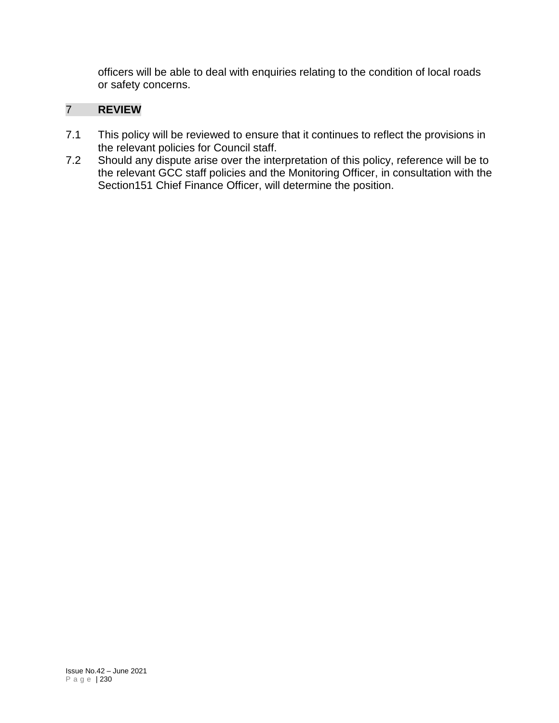officers will be able to deal with enquiries relating to the condition of local roads or safety concerns.

## 7 **REVIEW**

- 7.1 This policy will be reviewed to ensure that it continues to reflect the provisions in the relevant policies for Council staff.
- 7.2 Should any dispute arise over the interpretation of this policy, reference will be to the relevant GCC staff policies and the Monitoring Officer, in consultation with the Section151 Chief Finance Officer, will determine the position.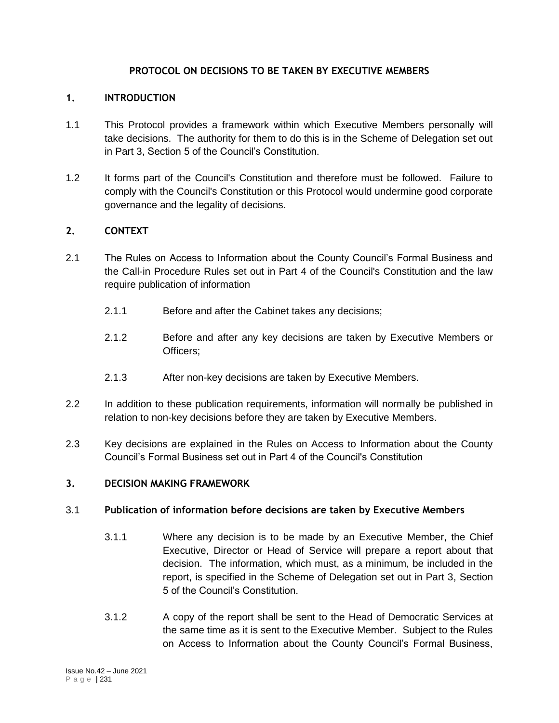#### **PROTOCOL ON DECISIONS TO BE TAKEN BY EXECUTIVE MEMBERS**

#### **1. INTRODUCTION**

- 1.1 This Protocol provides a framework within which Executive Members personally will take decisions. The authority for them to do this is in the Scheme of Delegation set out in Part 3, Section 5 of the Council's Constitution.
- 1.2 It forms part of the Council's Constitution and therefore must be followed. Failure to comply with the Council's Constitution or this Protocol would undermine good corporate governance and the legality of decisions.

#### **2. CONTEXT**

- 2.1 The Rules on Access to Information about the County Council's Formal Business and the Call-in Procedure Rules set out in Part 4 of the Council's Constitution and the law require publication of information
	- 2.1.1 Before and after the Cabinet takes any decisions;
	- 2.1.2 Before and after any key decisions are taken by Executive Members or Officers;
	- 2.1.3 After non-key decisions are taken by Executive Members.
- 2.2 In addition to these publication requirements, information will normally be published in relation to non-key decisions before they are taken by Executive Members.
- 2.3 Key decisions are explained in the Rules on Access to Information about the County Council's Formal Business set out in Part 4 of the Council's Constitution

#### **3. DECISION MAKING FRAMEWORK**

#### 3.1 **Publication of information before decisions are taken by Executive Members**

- 3.1.1 Where any decision is to be made by an Executive Member, the Chief Executive, Director or Head of Service will prepare a report about that decision. The information, which must, as a minimum, be included in the report, is specified in the Scheme of Delegation set out in Part 3, Section 5 of the Council's Constitution.
- 3.1.2 A copy of the report shall be sent to the Head of Democratic Services at the same time as it is sent to the Executive Member. Subject to the Rules on Access to Information about the County Council's Formal Business,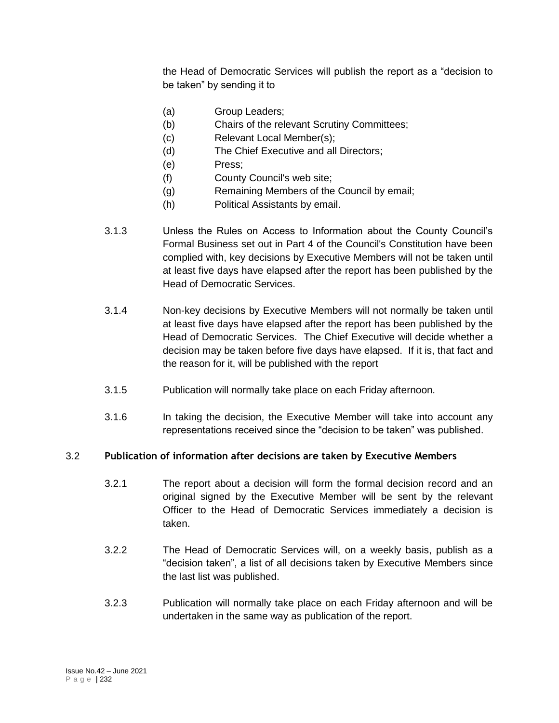the Head of Democratic Services will publish the report as a "decision to be taken" by sending it to

- (a) Group Leaders;
- (b) Chairs of the relevant Scrutiny Committees;
- (c) Relevant Local Member(s);
- (d) The Chief Executive and all Directors;
- (e) Press;
- (f) County Council's web site;
- (g) Remaining Members of the Council by email;
- (h) Political Assistants by email.
- 3.1.3 Unless the Rules on Access to Information about the County Council's Formal Business set out in Part 4 of the Council's Constitution have been complied with, key decisions by Executive Members will not be taken until at least five days have elapsed after the report has been published by the Head of Democratic Services.
- 3.1.4 Non-key decisions by Executive Members will not normally be taken until at least five days have elapsed after the report has been published by the Head of Democratic Services. The Chief Executive will decide whether a decision may be taken before five days have elapsed. If it is, that fact and the reason for it, will be published with the report
- 3.1.5 Publication will normally take place on each Friday afternoon.
- 3.1.6 In taking the decision, the Executive Member will take into account any representations received since the "decision to be taken" was published.

#### 3.2 **Publication of information after decisions are taken by Executive Members**

- 3.2.1 The report about a decision will form the formal decision record and an original signed by the Executive Member will be sent by the relevant Officer to the Head of Democratic Services immediately a decision is taken.
- 3.2.2 The Head of Democratic Services will, on a weekly basis, publish as a "decision taken", a list of all decisions taken by Executive Members since the last list was published.
- 3.2.3 Publication will normally take place on each Friday afternoon and will be undertaken in the same way as publication of the report.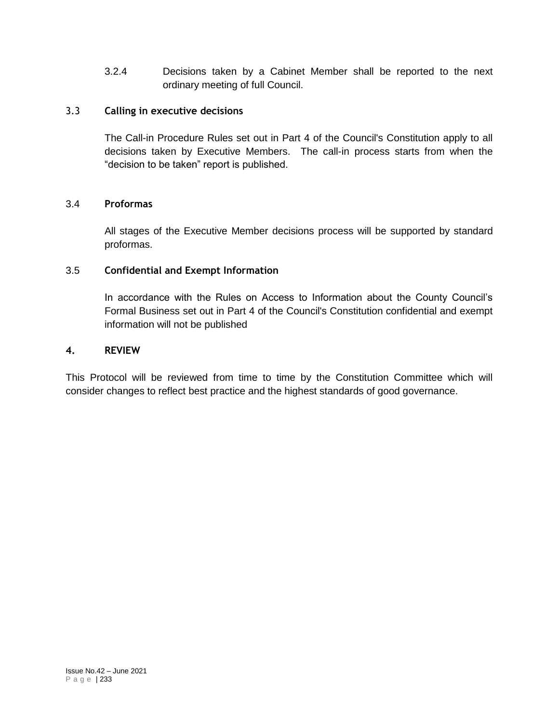3.2.4 Decisions taken by a Cabinet Member shall be reported to the next ordinary meeting of full Council.

#### 3.3 **Calling in executive decisions**

The Call-in Procedure Rules set out in Part 4 of the Council's Constitution apply to all decisions taken by Executive Members. The call-in process starts from when the "decision to be taken" report is published.

#### 3.4 **Proformas**

All stages of the Executive Member decisions process will be supported by standard proformas.

#### 3.5 **Confidential and Exempt Information**

In accordance with the Rules on Access to Information about the County Council's Formal Business set out in Part 4 of the Council's Constitution confidential and exempt information will not be published

#### **4. REVIEW**

This Protocol will be reviewed from time to time by the Constitution Committee which will consider changes to reflect best practice and the highest standards of good governance.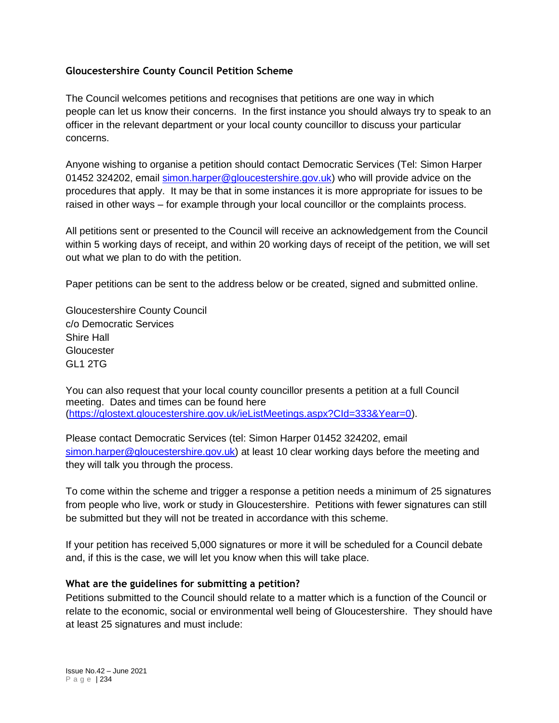#### **Gloucestershire County Council Petition Scheme**

The Council welcomes petitions and recognises that petitions are one way in which people can let us know their concerns. In the first instance you should always try to speak to an officer in the relevant department or your local county councillor to discuss your particular concerns.

Anyone wishing to organise a petition should contact Democratic Services (Tel: Simon Harper 01452 324202, email [simon.harper@gloucestershire.gov.uk\)](mailto:simon.harper@gloucestershire.gov.uk) who will provide advice on the procedures that apply. It may be that in some instances it is more appropriate for issues to be raised in other ways – for example through your local councillor or the complaints process.

All petitions sent or presented to the Council will receive an acknowledgement from the Council within 5 working days of receipt, and within 20 working days of receipt of the petition, we will set out what we plan to do with the petition.

Paper petitions can be sent to the address below or be created, signed and submitted online.

Gloucestershire County Council c/o Democratic Services Shire Hall **Gloucester** GL1 2TG

You can also request that your local county councillor presents a petition at a full Council meeting. Dates and times can be found here [\(https://glostext.gloucestershire.gov.uk/ieListMeetings.aspx?CId=333&Year=0\)](https://glostext.gloucestershire.gov.uk/ieListMeetings.aspx?CId=333&Year=0).

Please contact Democratic Services (tel: Simon Harper 01452 324202, email [simon.harper@gloucestershire.gov.uk\)](mailto:simon.harper@gloucestershire.gov.uk) at least 10 clear working days before the meeting and they will talk you through the process.

To come within the scheme and trigger a response a petition needs a minimum of 25 signatures from people who live, work or study in Gloucestershire. Petitions with fewer signatures can still be submitted but they will not be treated in accordance with this scheme.

If your petition has received 5,000 signatures or more it will be scheduled for a Council debate and, if this is the case, we will let you know when this will take place.

#### **What are the guidelines for submitting a petition?**

Petitions submitted to the Council should relate to a matter which is a function of the Council or relate to the economic, social or environmental well being of Gloucestershire. They should have at least 25 signatures and must include: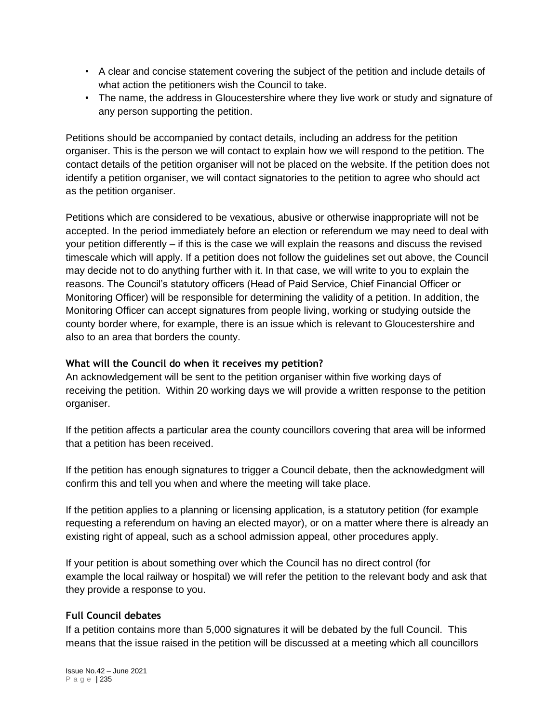- A clear and concise statement covering the subject of the petition and include details of what action the petitioners wish the Council to take.
- The name, the address in Gloucestershire where they live work or study and signature of any person supporting the petition.

Petitions should be accompanied by contact details, including an address for the petition organiser. This is the person we will contact to explain how we will respond to the petition. The contact details of the petition organiser will not be placed on the website. If the petition does not identify a petition organiser, we will contact signatories to the petition to agree who should act as the petition organiser.

Petitions which are considered to be vexatious, abusive or otherwise inappropriate will not be accepted. In the period immediately before an election or referendum we may need to deal with your petition differently – if this is the case we will explain the reasons and discuss the revised timescale which will apply. If a petition does not follow the guidelines set out above, the Council may decide not to do anything further with it. In that case, we will write to you to explain the reasons. The Council's statutory officers (Head of Paid Service, Chief Financial Officer or Monitoring Officer) will be responsible for determining the validity of a petition. In addition, the Monitoring Officer can accept signatures from people living, working or studying outside the county border where, for example, there is an issue which is relevant to Gloucestershire and also to an area that borders the county.

#### **What will the Council do when it receives my petition?**

An acknowledgement will be sent to the petition organiser within five working days of receiving the petition. Within 20 working days we will provide a written response to the petition organiser.

If the petition affects a particular area the county councillors covering that area will be informed that a petition has been received.

If the petition has enough signatures to trigger a Council debate, then the acknowledgment will confirm this and tell you when and where the meeting will take place.

If the petition applies to a planning or licensing application, is a statutory petition (for example requesting a referendum on having an elected mayor), or on a matter where there is already an existing right of appeal, such as a school admission appeal, other procedures apply.

If your petition is about something over which the Council has no direct control (for example the local railway or hospital) we will refer the petition to the relevant body and ask that they provide a response to you.

#### **Full Council debates**

If a petition contains more than 5,000 signatures it will be debated by the full Council. This means that the issue raised in the petition will be discussed at a meeting which all councillors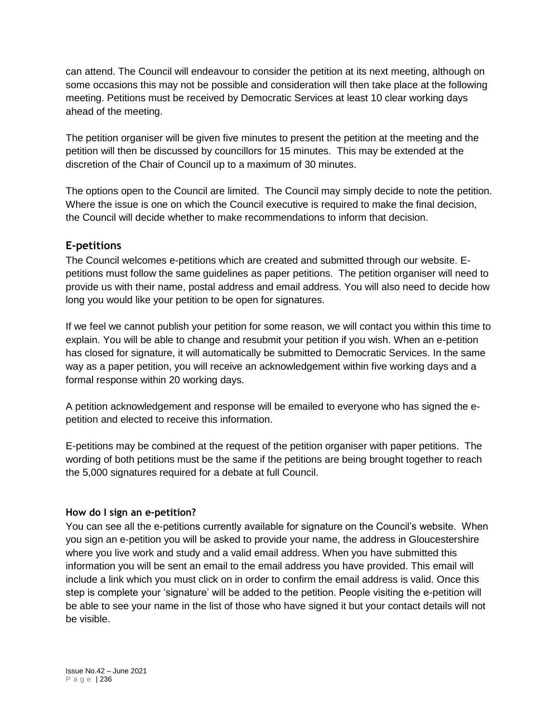can attend. The Council will endeavour to consider the petition at its next meeting, although on some occasions this may not be possible and consideration will then take place at the following meeting. Petitions must be received by Democratic Services at least 10 clear working days ahead of the meeting.

The petition organiser will be given five minutes to present the petition at the meeting and the petition will then be discussed by councillors for 15 minutes. This may be extended at the discretion of the Chair of Council up to a maximum of 30 minutes.

The options open to the Council are limited. The Council may simply decide to note the petition. Where the issue is one on which the Council executive is required to make the final decision, the Council will decide whether to make recommendations to inform that decision.

## **E-petitions**

The Council welcomes e-petitions which are created and submitted through our website. Epetitions must follow the same guidelines as paper petitions. The petition organiser will need to provide us with their name, postal address and email address. You will also need to decide how long you would like your petition to be open for signatures.

If we feel we cannot publish your petition for some reason, we will contact you within this time to explain. You will be able to change and resubmit your petition if you wish. When an e-petition has closed for signature, it will automatically be submitted to Democratic Services. In the same way as a paper petition, you will receive an acknowledgement within five working days and a formal response within 20 working days.

A petition acknowledgement and response will be emailed to everyone who has signed the epetition and elected to receive this information.

E-petitions may be combined at the request of the petition organiser with paper petitions. The wording of both petitions must be the same if the petitions are being brought together to reach the 5,000 signatures required for a debate at full Council.

### **How do I sign an e-petition?**

You can see all the e-petitions currently available for signature on the Council's website. When you sign an e-petition you will be asked to provide your name, the address in Gloucestershire where you live work and study and a valid email address. When you have submitted this information you will be sent an email to the email address you have provided. This email will include a link which you must click on in order to confirm the email address is valid. Once this step is complete your 'signature' will be added to the petition. People visiting the e-petition will be able to see your name in the list of those who have signed it but your contact details will not be visible.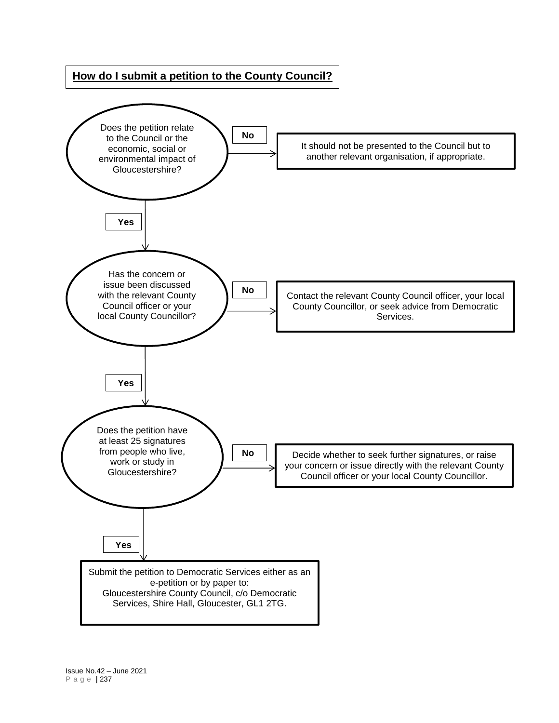